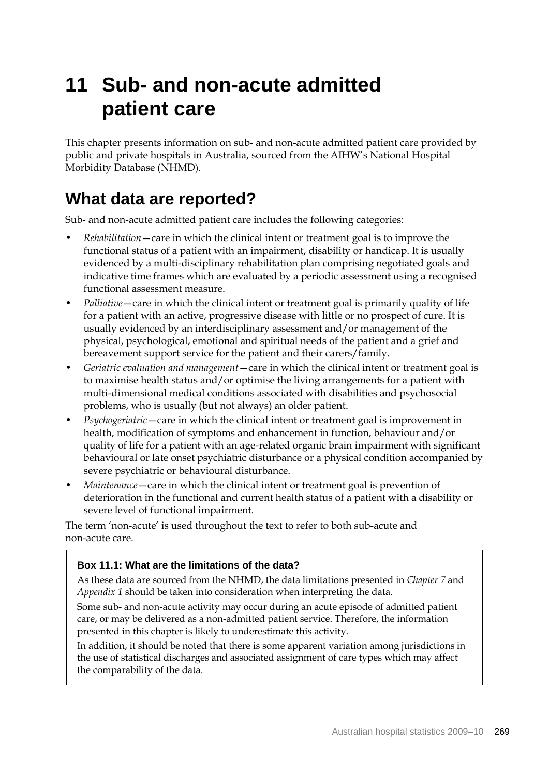# **11 Sub- and non-acute admitted patient care**

This chapter presents information on sub- and non-acute admitted patient care provided by public and private hospitals in Australia, sourced from the AIHW's National Hospital Morbidity Database (NHMD).

## **What data are reported?**

Sub- and non-acute admitted patient care includes the following categories:

- *Rehabilitation*—care in which the clinical intent or treatment goal is to improve the functional status of a patient with an impairment, disability or handicap. It is usually evidenced by a multi-disciplinary rehabilitation plan comprising negotiated goals and indicative time frames which are evaluated by a periodic assessment using a recognised functional assessment measure.
- *Palliative*—care in which the clinical intent or treatment goal is primarily quality of life for a patient with an active, progressive disease with little or no prospect of cure. It is usually evidenced by an interdisciplinary assessment and/or management of the physical, psychological, emotional and spiritual needs of the patient and a grief and bereavement support service for the patient and their carers/family.
- *Geriatric evaluation and management*—care in which the clinical intent or treatment goal is to maximise health status and/or optimise the living arrangements for a patient with multi-dimensional medical conditions associated with disabilities and psychosocial problems, who is usually (but not always) an older patient.
- *Psychogeriatric*—care in which the clinical intent or treatment goal is improvement in health, modification of symptoms and enhancement in function, behaviour and/or quality of life for a patient with an age-related organic brain impairment with significant behavioural or late onset psychiatric disturbance or a physical condition accompanied by severe psychiatric or behavioural disturbance.
- *Maintenance*—care in which the clinical intent or treatment goal is prevention of deterioration in the functional and current health status of a patient with a disability or severe level of functional impairment.

The term 'non-acute' is used throughout the text to refer to both sub-acute and non-acute care.

### **Box 11.1: What are the limitations of the data?**

As these data are sourced from the NHMD, the data limitations presented in *Chapter 7* and *Appendix 1* should be taken into consideration when interpreting the data.

Some sub- and non-acute activity may occur during an acute episode of admitted patient care, or may be delivered as a non-admitted patient service. Therefore, the information presented in this chapter is likely to underestimate this activity.

In addition, it should be noted that there is some apparent variation among jurisdictions in the use of statistical discharges and associated assignment of care types which may affect the comparability of the data.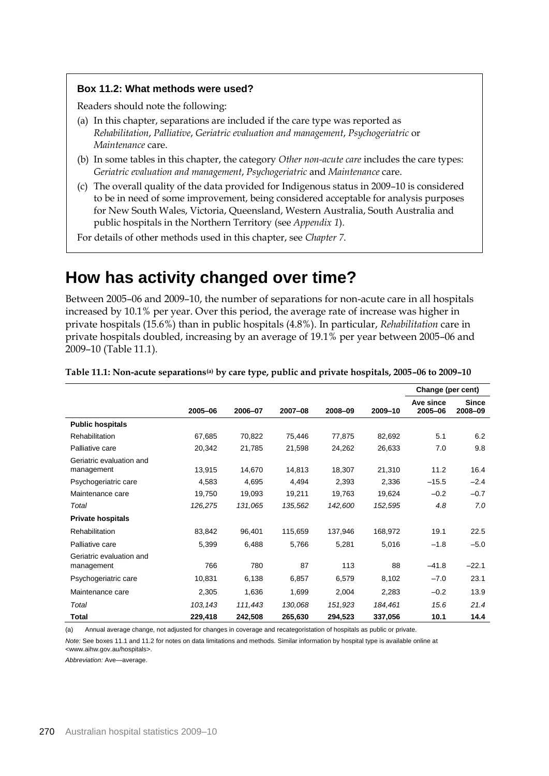#### **Box 11.2: What methods were used?**

Readers should note the following:

- (a) In this chapter, separations are included if the care type was reported as *Rehabilitation*, *Palliative*, *Geriatric evaluation and management*, *Psychogeriatric* or *Maintenance* care.
- (b) In some tables in this chapter, the category *Other non-acute care* includes the care types: *Geriatric evaluation and management*, *Psychogeriatric* and *Maintenance* care.
- (c) The overall quality of the data provided for Indigenous status in 2009–10 is considered to be in need of some improvement, being considered acceptable for analysis purposes for New South Wales, Victoria, Queensland, Western Australia, South Australia and public hospitals in the Northern Territory (see *Appendix 1*).

For details of other methods used in this chapter, see *Chapter 7*.

## **How has activity changed over time?**

Between 2005–06 and 2009–10, the number of separations for non-acute care in all hospitals increased by 10.1% per year. Over this period, the average rate of increase was higher in private hospitals (15.6%) than in public hospitals (4.8%). In particular, *Rehabilitation* care in private hospitals doubled, increasing by an average of 19.1% per year between 2005–06 and 2009–10 (Table 11.1).

|                                        |         |         |         |         |         | Change (per cent)    |                         |
|----------------------------------------|---------|---------|---------|---------|---------|----------------------|-------------------------|
|                                        | 2005-06 | 2006-07 | 2007-08 | 2008-09 | 2009-10 | Ave since<br>2005-06 | <b>Since</b><br>2008-09 |
| <b>Public hospitals</b>                |         |         |         |         |         |                      |                         |
| Rehabilitation                         | 67,685  | 70,822  | 75,446  | 77,875  | 82,692  | 5.1                  | 6.2                     |
| Palliative care                        | 20,342  | 21,785  | 21,598  | 24,262  | 26,633  | 7.0                  | 9.8                     |
| Geriatric evaluation and<br>management | 13,915  | 14,670  | 14,813  | 18,307  | 21,310  | 11.2                 | 16.4                    |
| Psychogeriatric care                   | 4,583   | 4,695   | 4,494   | 2,393   | 2,336   | $-15.5$              | $-2.4$                  |
| Maintenance care                       | 19,750  | 19,093  | 19,211  | 19,763  | 19,624  | $-0.2$               | $-0.7$                  |
| Total                                  | 126,275 | 131,065 | 135,562 | 142,600 | 152,595 | 4.8                  | 7.0                     |
| <b>Private hospitals</b>               |         |         |         |         |         |                      |                         |
| <b>Rehabilitation</b>                  | 83,842  | 96,401  | 115,659 | 137,946 | 168,972 | 19.1                 | 22.5                    |
| Palliative care                        | 5,399   | 6,488   | 5,766   | 5,281   | 5,016   | $-1.8$               | $-5.0$                  |
| Geriatric evaluation and<br>management | 766     | 780     | 87      | 113     | 88      | $-41.8$              | $-22.1$                 |
| Psychogeriatric care                   | 10,831  | 6,138   | 6,857   | 6,579   | 8,102   | $-7.0$               | 23.1                    |
| Maintenance care                       | 2,305   | 1,636   | 1,699   | 2,004   | 2,283   | $-0.2$               | 13.9                    |
| Total                                  | 103,143 | 111,443 | 130,068 | 151,923 | 184,461 | 15.6                 | 21.4                    |
| <b>Total</b>                           | 229,418 | 242,508 | 265,630 | 294,523 | 337,056 | 10.1                 | 14.4                    |

**Table 11.1: Non-acute separations(a) by care type, public and private hospitals, 2005–06 to 2009–10** 

(a) Annual average change, not adjusted for changes in coverage and recategoristation of hospitals as public or private.

*Note:* See boxes 11.1 and 11.2 for notes on data limitations and methods. Similar information by hospital type is available online at <www.aihw.gov.au/hospitals>.

*Abbreviation:* Ave—average.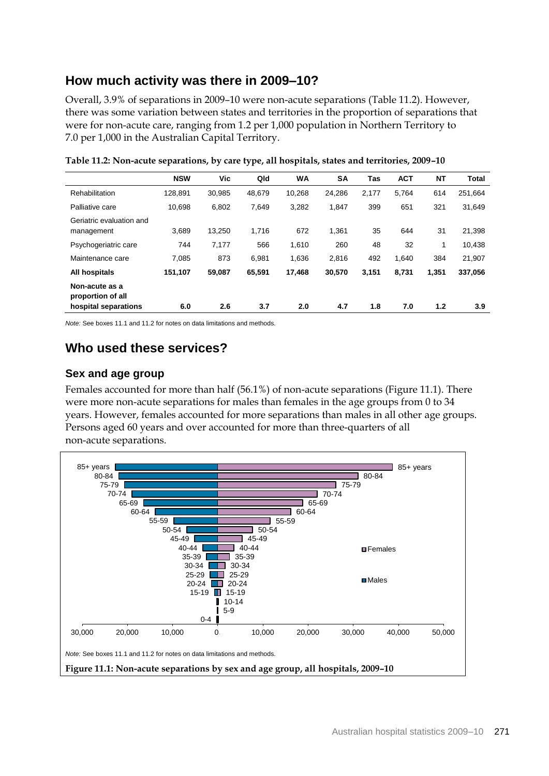## **How much activity was there in 2009–10?**

Overall, 3.9% of separations in 2009–10 were non-acute separations (Table 11.2). However, there was some variation between states and territories in the proportion of separations that were for non-acute care, ranging from 1.2 per 1,000 population in Northern Territory to 7.0 per 1,000 in the Australian Capital Territory.

|                                                             | <b>NSW</b> | Vic    | Qld    | <b>WA</b> | <b>SA</b> | <b>Tas</b> | <b>ACT</b> | <b>NT</b> | <b>Total</b> |
|-------------------------------------------------------------|------------|--------|--------|-----------|-----------|------------|------------|-----------|--------------|
| Rehabilitation                                              | 128,891    | 30,985 | 48,679 | 10.268    | 24,286    | 2,177      | 5.764      | 614       | 251,664      |
| Palliative care                                             | 10.698     | 6,802  | 7,649  | 3,282     | 1,847     | 399        | 651        | 321       | 31,649       |
| Geriatric evaluation and<br>management                      | 3.689      | 13.250 | 1.716  | 672       | 1.361     | 35         | 644        | 31        | 21,398       |
| Psychogeriatric care                                        | 744        | 7,177  | 566    | 1,610     | 260       | 48         | 32         | 1         | 10,438       |
| Maintenance care                                            | 7,085      | 873    | 6,981  | 1,636     | 2.816     | 492        | 1,640      | 384       | 21,907       |
| <b>All hospitals</b>                                        | 151,107    | 59,087 | 65,591 | 17,468    | 30,570    | 3,151      | 8,731      | 1,351     | 337,056      |
| Non-acute as a<br>proportion of all<br>hospital separations | 6.0        | 2.6    | 3.7    | 2.0       | 4.7       | 1.8        | 7.0        | 1.2       | 3.9          |
|                                                             |            |        |        |           |           |            |            |           |              |

**Table 11.2: Non-acute separations, by care type, all hospitals, states and territories, 2009–10**

*Note:* See boxes 11.1 and 11.2 for notes on data limitations and methods.

## **Who used these services?**

#### **Sex and age group**

Females accounted for more than half (56.1%) of non-acute separations (Figure 11.1). There were more non-acute separations for males than females in the age groups from 0 to 34 years. However, females accounted for more separations than males in all other age groups. Persons aged 60 years and over accounted for more than three-quarters of all non-acute separations.

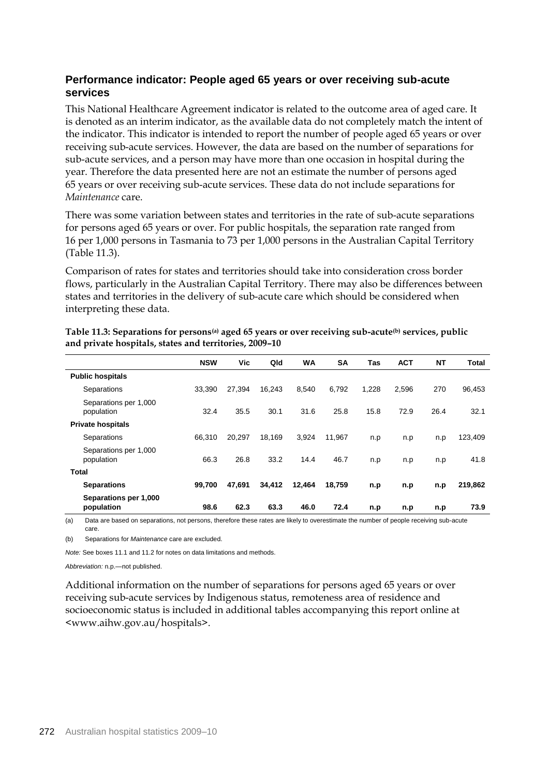#### **Performance indicator: People aged 65 years or over receiving sub-acute services**

This National Healthcare Agreement indicator is related to the outcome area of aged care. It is denoted as an interim indicator, as the available data do not completely match the intent of the indicator. This indicator is intended to report the number of people aged 65 years or over receiving sub-acute services. However, the data are based on the number of separations for sub-acute services, and a person may have more than one occasion in hospital during the year. Therefore the data presented here are not an estimate the number of persons aged 65 years or over receiving sub-acute services. These data do not include separations for *Maintenance* care.

There was some variation between states and territories in the rate of sub-acute separations for persons aged 65 years or over. For public hospitals, the separation rate ranged from 16 per 1,000 persons in Tasmania to 73 per 1,000 persons in the Australian Capital Territory (Table 11.3).

Comparison of rates for states and territories should take into consideration cross border flows, particularly in the Australian Capital Territory. There may also be differences between states and territories in the delivery of sub-acute care which should be considered when interpreting these data.

|                                     | <b>NSW</b> | Vic    | Qld    | <b>WA</b> | <b>SA</b> | Tas   | <b>ACT</b> | <b>NT</b> | <b>Total</b> |
|-------------------------------------|------------|--------|--------|-----------|-----------|-------|------------|-----------|--------------|
| <b>Public hospitals</b>             |            |        |        |           |           |       |            |           |              |
| Separations                         | 33,390     | 27,394 | 16.243 | 8.540     | 6.792     | 1,228 | 2.596      | 270       | 96,453       |
| Separations per 1,000<br>population | 32.4       | 35.5   | 30.1   | 31.6      | 25.8      | 15.8  | 72.9       | 26.4      | 32.1         |
| <b>Private hospitals</b>            |            |        |        |           |           |       |            |           |              |
| Separations                         | 66.310     | 20.297 | 18.169 | 3.924     | 11.967    | n.p   | n.p        | n.p       | 123,409      |
| Separations per 1,000<br>population | 66.3       | 26.8   | 33.2   | 14.4      | 46.7      | n.p   | n.p        | n.p       | 41.8         |
| <b>Total</b>                        |            |        |        |           |           |       |            |           |              |
| <b>Separations</b>                  | 99.700     | 47.691 | 34,412 | 12,464    | 18.759    | n.p   | n.p        | n.p       | 219,862      |
| Separations per 1,000<br>population | 98.6       | 62.3   | 63.3   | 46.0      | 72.4      | n.p   | n.p        | n.p       | 73.9         |

**Table 11.3: Separations for persons(a) aged 65 years or over receiving sub-acute(b) services, public and private hospitals, states and territories, 2009–10**

(a) Data are based on separations, not persons, therefore these rates are likely to overestimate the number of people receiving sub-acute care.

(b) Separations for *Maintenance* care are excluded.

*Note:* See boxes 11.1 and 11.2 for notes on data limitations and methods.

*Abbreviation:* n.p.—not published.

Additional information on the number of separations for persons aged 65 years or over receiving sub-acute services by Indigenous status, remoteness area of residence and socioeconomic status is included in additional tables accompanying this report online at <www.aihw.gov.au/hospitals>.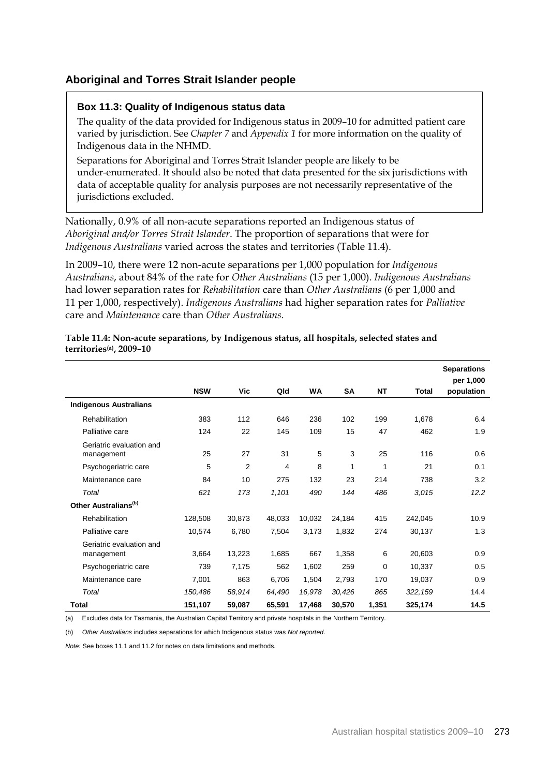#### **Aboriginal and Torres Strait Islander people**

#### **Box 11.3: Quality of Indigenous status data**

The quality of the data provided for Indigenous status in 2009–10 for admitted patient care varied by jurisdiction. See *Chapter 7* and *Appendix 1* for more information on the quality of Indigenous data in the NHMD.

Separations for Aboriginal and Torres Strait Islander people are likely to be under-enumerated. It should also be noted that data presented for the six jurisdictions with data of acceptable quality for analysis purposes are not necessarily representative of the jurisdictions excluded.

Nationally, 0.9% of all non-acute separations reported an Indigenous status of *Aboriginal and/or Torres Strait Islander*. The proportion of separations that were for *Indigenous Australians* varied across the states and territories (Table 11.4).

In 2009–10, there were 12 non-acute separations per 1,000 population for *Indigenous Australians*, about 84% of the rate for *Other Australians* (15 per 1,000). *Indigenous Australians* had lower separation rates for *Rehabilitation* care than *Other Australians* (6 per 1,000 and 11 per 1,000, respectively). *Indigenous Australians* had higher separation rates for *Palliative*  care and *Maintenance* care than *Other Australians*.

|                                        |            |        |        |           |        |           |              | <b>Separations</b><br>per 1,000 |
|----------------------------------------|------------|--------|--------|-----------|--------|-----------|--------------|---------------------------------|
|                                        | <b>NSW</b> | Vic    | Qld    | <b>WA</b> | SA     | <b>NT</b> | <b>Total</b> | population                      |
| <b>Indigenous Australians</b>          |            |        |        |           |        |           |              |                                 |
| Rehabilitation                         | 383        | 112    | 646    | 236       | 102    | 199       | 1,678        | 6.4                             |
| Palliative care                        | 124        | 22     | 145    | 109       | 15     | 47        | 462          | 1.9                             |
| Geriatric evaluation and<br>management | 25         | 27     | 31     | 5         | 3      | 25        | 116          | 0.6                             |
| Psychogeriatric care                   | 5          | 2      | 4      | 8         | 1      | 1         | 21           | 0.1                             |
| Maintenance care                       | 84         | 10     | 275    | 132       | 23     | 214       | 738          | 3.2                             |
| Total                                  | 621        | 173    | 1,101  | 490       | 144    | 486       | 3,015        | 12.2                            |
| Other Australians <sup>(b)</sup>       |            |        |        |           |        |           |              |                                 |
| Rehabilitation                         | 128,508    | 30,873 | 48,033 | 10,032    | 24,184 | 415       | 242,045      | 10.9                            |
| Palliative care                        | 10,574     | 6,780  | 7,504  | 3,173     | 1,832  | 274       | 30,137       | 1.3                             |
| Geriatric evaluation and<br>management | 3,664      | 13,223 | 1,685  | 667       | 1,358  | 6         | 20,603       | 0.9                             |
| Psychogeriatric care                   | 739        | 7,175  | 562    | 1,602     | 259    | 0         | 10,337       | 0.5                             |
| Maintenance care                       | 7,001      | 863    | 6,706  | 1,504     | 2,793  | 170       | 19,037       | 0.9                             |
| Total                                  | 150,486    | 58,914 | 64,490 | 16,978    | 30,426 | 865       | 322, 159     | 14.4                            |
| <b>Total</b>                           | 151,107    | 59,087 | 65,591 | 17,468    | 30,570 | 1,351     | 325,174      | 14.5                            |

#### **Table 11.4: Non-acute separations, by Indigenous status, all hospitals, selected states and territories(a), 2009–10**

(a) Excludes data for Tasmania, the Australian Capital Territory and private hospitals in the Northern Territory.

(b) *Other Australians* includes separations for which Indigenous status was *Not reported*.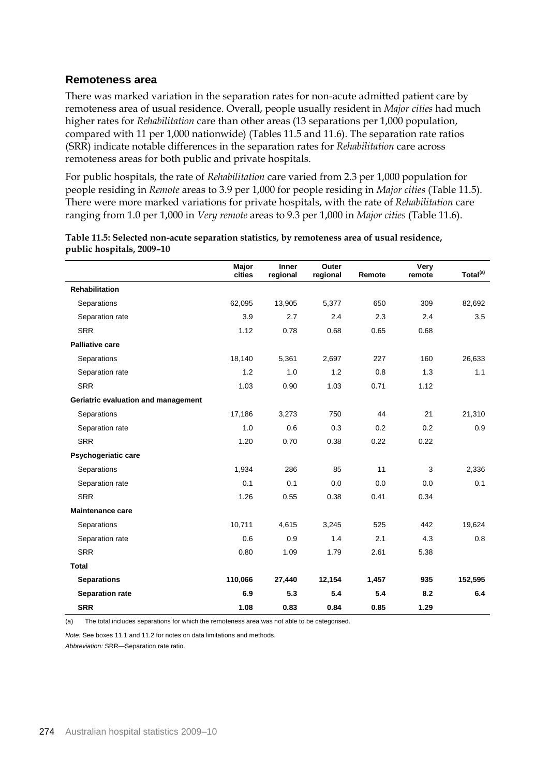#### **Remoteness area**

There was marked variation in the separation rates for non-acute admitted patient care by remoteness area of usual residence. Overall, people usually resident in *Major cities* had much higher rates for *Rehabilitation* care than other areas (13 separations per 1,000 population, compared with 11 per 1,000 nationwide) (Tables 11.5 and 11.6). The separation rate ratios (SRR) indicate notable differences in the separation rates for *Rehabilitation* care across remoteness areas for both public and private hospitals.

For public hospitals, the rate of *Rehabilitation* care varied from 2.3 per 1,000 population for people residing in *Remote* areas to 3.9 per 1,000 for people residing in *Major cities* (Table 11.5). There were more marked variations for private hospitals, with the rate of *Rehabilitation* care ranging from 1.0 per 1,000 in *Very remote* areas to 9.3 per 1,000 in *Major cities* (Table 11.6).

|                                     | Major<br>cities | <b>Inner</b><br>regional | Outer<br>regional | Remote | Very<br>remote | Total <sup>(a)</sup> |
|-------------------------------------|-----------------|--------------------------|-------------------|--------|----------------|----------------------|
| <b>Rehabilitation</b>               |                 |                          |                   |        |                |                      |
| Separations                         | 62,095          | 13,905                   | 5,377             | 650    | 309            | 82,692               |
| Separation rate                     | 3.9             | 2.7                      | 2.4               | 2.3    | 2.4            | 3.5                  |
| <b>SRR</b>                          | 1.12            | 0.78                     | 0.68              | 0.65   | 0.68           |                      |
| <b>Palliative care</b>              |                 |                          |                   |        |                |                      |
| Separations                         | 18,140          | 5,361                    | 2,697             | 227    | 160            | 26,633               |
| Separation rate                     | 1.2             | 1.0                      | 1.2               | 0.8    | 1.3            | 1.1                  |
| <b>SRR</b>                          | 1.03            | 0.90                     | 1.03              | 0.71   | 1.12           |                      |
| Geriatric evaluation and management |                 |                          |                   |        |                |                      |
| Separations                         | 17,186          | 3,273                    | 750               | 44     | 21             | 21,310               |
| Separation rate                     | 1.0             | 0.6                      | 0.3               | 0.2    | 0.2            | 0.9                  |
| <b>SRR</b>                          | 1.20            | 0.70                     | 0.38              | 0.22   | 0.22           |                      |
| Psychogeriatic care                 |                 |                          |                   |        |                |                      |
| Separations                         | 1,934           | 286                      | 85                | 11     | 3              | 2,336                |
| Separation rate                     | 0.1             | 0.1                      | 0.0               | 0.0    | 0.0            | 0.1                  |
| <b>SRR</b>                          | 1.26            | 0.55                     | 0.38              | 0.41   | 0.34           |                      |
| <b>Maintenance care</b>             |                 |                          |                   |        |                |                      |
| Separations                         | 10,711          | 4,615                    | 3,245             | 525    | 442            | 19,624               |
| Separation rate                     | 0.6             | 0.9                      | 1.4               | 2.1    | 4.3            | 0.8                  |
| <b>SRR</b>                          | 0.80            | 1.09                     | 1.79              | 2.61   | 5.38           |                      |
| <b>Total</b>                        |                 |                          |                   |        |                |                      |
| <b>Separations</b>                  | 110,066         | 27,440                   | 12,154            | 1,457  | 935            | 152,595              |
| <b>Separation rate</b>              | 6.9             | 5.3                      | 5.4               | 5.4    | 8.2            | 6.4                  |
| <b>SRR</b>                          | 1.08            | 0.83                     | 0.84              | 0.85   | 1.29           |                      |

**Table 11.5: Selected non-acute separation statistics, by remoteness area of usual residence, public hospitals, 2009–10**

(a) The total includes separations for which the remoteness area was not able to be categorised.

*Note:* See boxes 11.1 and 11.2 for notes on data limitations and methods.

*Abbreviation:* SRR—Separation rate ratio.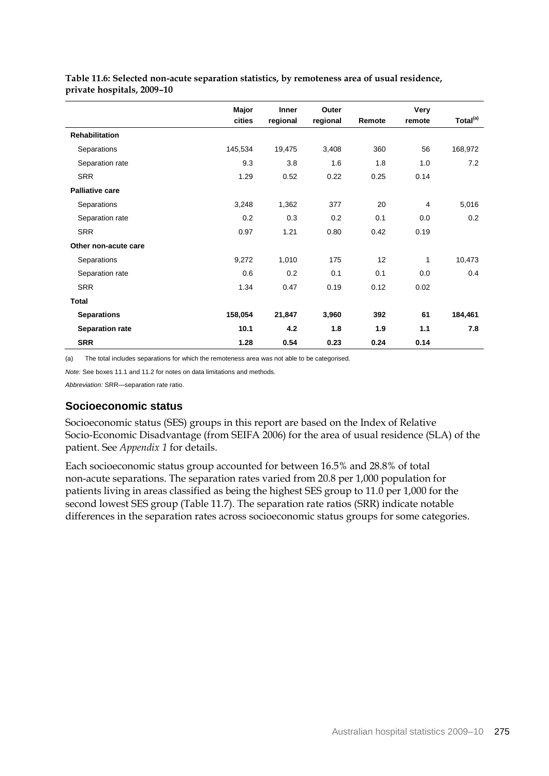|                        | Major   | <b>Inner</b> | Outer    |        | Very    |                      |
|------------------------|---------|--------------|----------|--------|---------|----------------------|
|                        | cities  | regional     | regional | Remote | remote  | Total <sup>(a)</sup> |
| <b>Rehabilitation</b>  |         |              |          |        |         |                      |
| Separations            | 145,534 | 19,475       | 3,408    | 360    | 56      | 168,972              |
| Separation rate        | 9.3     | 3.8          | 1.6      | 1.8    | 1.0     | 7.2                  |
| <b>SRR</b>             | 1.29    | 0.52         | 0.22     | 0.25   | 0.14    |                      |
| <b>Palliative care</b> |         |              |          |        |         |                      |
| Separations            | 3,248   | 1,362        | 377      | 20     | 4       | 5,016                |
| Separation rate        | 0.2     | 0.3          | 0.2      | 0.1    | 0.0     | 0.2                  |
| <b>SRR</b>             | 0.97    | 1.21         | 0.80     | 0.42   | 0.19    |                      |
| Other non-acute care   |         |              |          |        |         |                      |
| Separations            | 9,272   | 1,010        | 175      | 12     | 1       | 10,473               |
| Separation rate        | 0.6     | 0.2          | 0.1      | 0.1    | $0.0\,$ | 0.4                  |
| <b>SRR</b>             | 1.34    | 0.47         | 0.19     | 0.12   | 0.02    |                      |
| <b>Total</b>           |         |              |          |        |         |                      |
| <b>Separations</b>     | 158,054 | 21,847       | 3,960    | 392    | 61      | 184,461              |
| <b>Separation rate</b> | 10.1    | 4.2          | 1.8      | 1.9    | 1.1     | 7.8                  |
| <b>SRR</b>             | 1.28    | 0.54         | 0.23     | 0.24   | 0.14    |                      |

**Table 11.6: Selected non-acute separation statistics, by remoteness area of usual residence, private hospitals, 2009–10**

(a) The total includes separations for which the remoteness area was not able to be categorised.

*Note:* See boxes 11.1 and 11.2 for notes on data limitations and methods.

*Abbreviation:* SRR—separation rate ratio.

#### **Socioeconomic status**

Socioeconomic status (SES) groups in this report are based on the Index of Relative Socio-Economic Disadvantage (from SEIFA 2006) for the area of usual residence (SLA) of the patient. See *Appendix 1* for details.

Each socioeconomic status group accounted for between 16.5% and 28.8% of total non-acute separations. The separation rates varied from 20.8 per 1,000 population for patients living in areas classified as being the highest SES group to 11.0 per 1,000 for the second lowest SES group (Table 11.7). The separation rate ratios (SRR) indicate notable differences in the separation rates across socioeconomic status groups for some categories.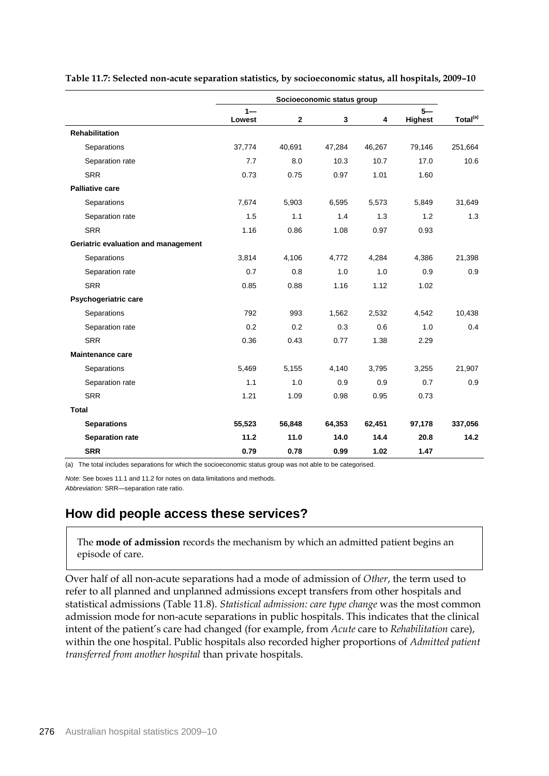|                                     | Socioeconomic status group |              |        |        |                |                      |
|-------------------------------------|----------------------------|--------------|--------|--------|----------------|----------------------|
|                                     | $1 -$                      |              |        |        | $5 -$          | Total <sup>(a)</sup> |
| <b>Rehabilitation</b>               | Lowest                     | $\mathbf{2}$ | 3      | 4      | <b>Highest</b> |                      |
|                                     |                            |              |        |        |                |                      |
| Separations                         | 37,774                     | 40,691       | 47,284 | 46,267 | 79,146         | 251,664              |
| Separation rate                     | 7.7                        | 8.0          | 10.3   | 10.7   | 17.0           | 10.6                 |
| <b>SRR</b>                          | 0.73                       | 0.75         | 0.97   | 1.01   | 1.60           |                      |
| <b>Palliative care</b>              |                            |              |        |        |                |                      |
| Separations                         | 7,674                      | 5,903        | 6,595  | 5,573  | 5,849          | 31,649               |
| Separation rate                     | 1.5                        | 1.1          | 1.4    | 1.3    | 1.2            | 1.3                  |
| <b>SRR</b>                          | 1.16                       | 0.86         | 1.08   | 0.97   | 0.93           |                      |
| Geriatric evaluation and management |                            |              |        |        |                |                      |
| Separations                         | 3,814                      | 4,106        | 4,772  | 4,284  | 4,386          | 21,398               |
| Separation rate                     | 0.7                        | 0.8          | 1.0    | 1.0    | 0.9            | 0.9                  |
| <b>SRR</b>                          | 0.85                       | 0.88         | 1.16   | 1.12   | 1.02           |                      |
| Psychogeriatric care                |                            |              |        |        |                |                      |
| Separations                         | 792                        | 993          | 1,562  | 2,532  | 4,542          | 10,438               |
| Separation rate                     | 0.2                        | 0.2          | 0.3    | 0.6    | 1.0            | 0.4                  |
| <b>SRR</b>                          | 0.36                       | 0.43         | 0.77   | 1.38   | 2.29           |                      |
| <b>Maintenance care</b>             |                            |              |        |        |                |                      |
| Separations                         | 5,469                      | 5,155        | 4,140  | 3,795  | 3,255          | 21,907               |
| Separation rate                     | 1.1                        | 1.0          | 0.9    | 0.9    | 0.7            | 0.9                  |
| <b>SRR</b>                          | 1.21                       | 1.09         | 0.98   | 0.95   | 0.73           |                      |
| <b>Total</b>                        |                            |              |        |        |                |                      |
| <b>Separations</b>                  | 55,523                     | 56,848       | 64,353 | 62,451 | 97,178         | 337,056              |
| <b>Separation rate</b>              | 11.2                       | 11.0         | 14.0   | 14.4   | 20.8           | 14.2                 |
| <b>SRR</b>                          | 0.79                       | 0.78         | 0.99   | 1.02   | 1.47           |                      |

**Table 11.7: Selected non-acute separation statistics, by socioeconomic status, all hospitals, 2009–10**

(a) The total includes separations for which the socioeconomic status group was not able to be categorised.

*Note:* See boxes 11.1 and 11.2 for notes on data limitations and methods.

*Abbreviation:* SRR—separation rate ratio.

## **How did people access these services?**

The **mode of admission** records the mechanism by which an admitted patient begins an episode of care.

Over half of all non-acute separations had a mode of admission of *Other*, the term used to refer to all planned and unplanned admissions except transfers from other hospitals and statistical admissions (Table 11.8). *Statistical admission: care type change* was the most common admission mode for non-acute separations in public hospitals. This indicates that the clinical intent of the patient's care had changed (for example, from *Acute* care to *Rehabilitation* care), within the one hospital. Public hospitals also recorded higher proportions of *Admitted patient transferred from another hospital* than private hospitals.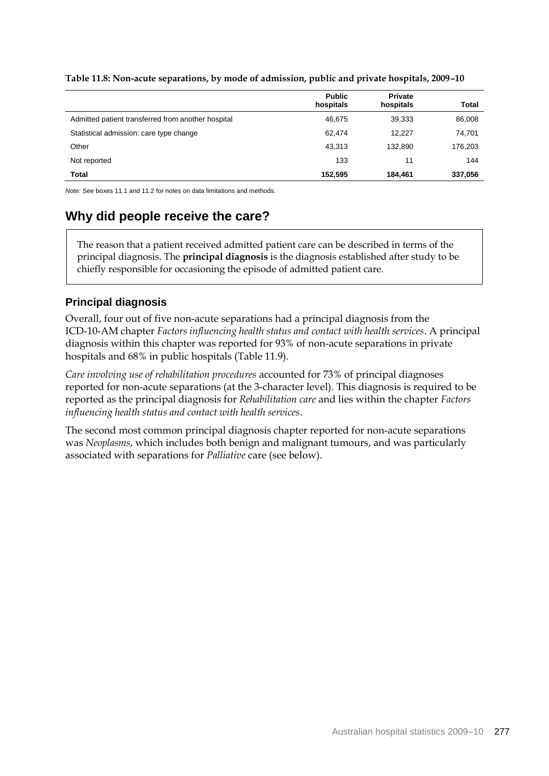|                                                    | <b>Public</b><br>hospitals | <b>Private</b><br>hospitals | Total   |
|----------------------------------------------------|----------------------------|-----------------------------|---------|
| Admitted patient transferred from another hospital | 46.675                     | 39,333                      | 86,008  |
| Statistical admission: care type change            | 62.474                     | 12.227                      | 74,701  |
| Other                                              | 43,313                     | 132.890                     | 176,203 |
| Not reported                                       | 133                        | 11                          | 144     |
| Total                                              | 152,595                    | 184.461                     | 337,056 |

**Table 11.8: Non-acute separations, by mode of admission, public and private hospitals, 2009–10**

*Note:* See boxes 11.1 and 11.2 for notes on data limitations and methods.

## **Why did people receive the care?**

The reason that a patient received admitted patient care can be described in terms of the principal diagnosis. The **principal diagnosis** is the diagnosis established after study to be chiefly responsible for occasioning the episode of admitted patient care.

#### **Principal diagnosis**

Overall, four out of five non-acute separations had a principal diagnosis from the ICD-10-AM chapter *Factors influencing health status and contact with health services*. A principal diagnosis within this chapter was reported for 93% of non-acute separations in private hospitals and 68% in public hospitals (Table 11.9).

*Care involving use of rehabilitation procedures* accounted for 73% of principal diagnoses reported for non-acute separations (at the 3-character level). This diagnosis is required to be reported as the principal diagnosis for *Rehabilitation care* and lies within the chapter *Factors influencing health status and contact with health services*.

The second most common principal diagnosis chapter reported for non-acute separations was *Neoplasms*, which includes both benign and malignant tumours, and was particularly associated with separations for *Palliative* care (see below).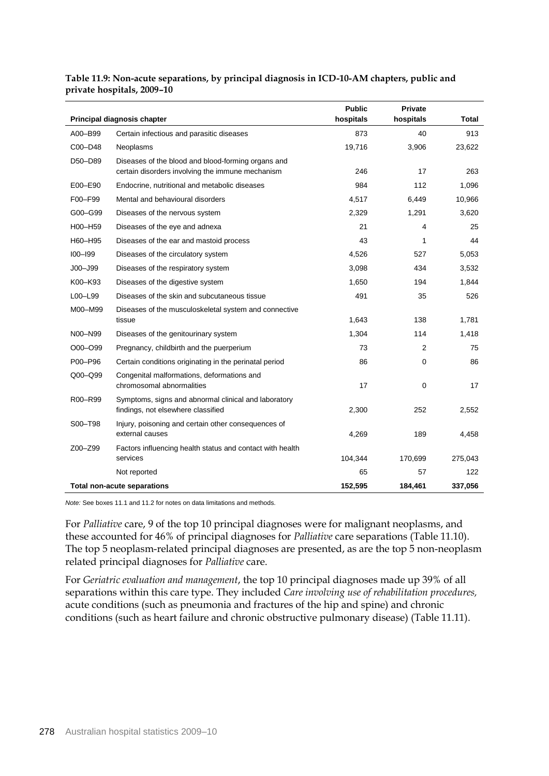|         | Principal diagnosis chapter                                                                            | <b>Public</b><br>hospitals | <b>Private</b><br>hospitals | Total   |
|---------|--------------------------------------------------------------------------------------------------------|----------------------------|-----------------------------|---------|
| A00-B99 | Certain infectious and parasitic diseases                                                              | 873                        | 40                          | 913     |
| C00-D48 | Neoplasms                                                                                              | 19,716                     | 3,906                       | 23,622  |
| D50-D89 | Diseases of the blood and blood-forming organs and<br>certain disorders involving the immune mechanism | 246                        | 17                          | 263     |
| E00-E90 | Endocrine, nutritional and metabolic diseases                                                          | 984                        | 112                         | 1,096   |
| F00-F99 | Mental and behavioural disorders                                                                       | 4,517                      | 6,449                       | 10,966  |
| G00-G99 | Diseases of the nervous system                                                                         | 2,329                      | 1,291                       | 3,620   |
| H00-H59 | Diseases of the eye and adnexa                                                                         | 21                         | 4                           | 25      |
| H60-H95 | Diseases of the ear and mastoid process                                                                | 43                         | 1                           | 44      |
| 100-199 | Diseases of the circulatory system                                                                     | 4,526                      | 527                         | 5,053   |
| J00-J99 | Diseases of the respiratory system                                                                     | 3,098                      | 434                         | 3,532   |
| K00-K93 | Diseases of the digestive system                                                                       | 1,650                      | 194                         | 1,844   |
| L00-L99 | Diseases of the skin and subcutaneous tissue                                                           | 491                        | 35                          | 526     |
| M00-M99 | Diseases of the musculoskeletal system and connective<br>tissue                                        | 1,643                      | 138                         | 1,781   |
| N00-N99 | Diseases of the genitourinary system                                                                   | 1,304                      | 114                         | 1,418   |
| O00-O99 | Pregnancy, childbirth and the puerperium                                                               | 73                         | 2                           | 75      |
| P00-P96 | Certain conditions originating in the perinatal period                                                 | 86                         | 0                           | 86      |
| Q00-Q99 | Congenital malformations, deformations and<br>chromosomal abnormalities                                | 17                         | 0                           | 17      |
| R00-R99 | Symptoms, signs and abnormal clinical and laboratory<br>findings, not elsewhere classified             | 2,300                      | 252                         | 2,552   |
| S00-T98 | Injury, poisoning and certain other consequences of<br>external causes                                 | 4,269                      | 189                         | 4,458   |
| Z00-Z99 | Factors influencing health status and contact with health<br>services                                  | 104,344                    | 170,699                     | 275,043 |
|         | Not reported                                                                                           | 65                         | 57                          | 122     |
|         | <b>Total non-acute separations</b>                                                                     | 152.595                    | 184.461                     | 337,056 |

**Table 11.9: Non-acute separations, by principal diagnosis in ICD-10-AM chapters, public and private hospitals, 2009–10**

*Note:* See boxes 11.1 and 11.2 for notes on data limitations and methods.

For *Palliative* care, 9 of the top 10 principal diagnoses were for malignant neoplasms, and these accounted for 46% of principal diagnoses for *Palliative* care separations (Table 11.10). The top 5 neoplasm-related principal diagnoses are presented, as are the top 5 non-neoplasm related principal diagnoses for *Palliative* care.

For *Geriatric evaluation and management*, the top 10 principal diagnoses made up 39% of all separations within this care type. They included *Care involving use of rehabilitation procedures,*  acute conditions (such as pneumonia and fractures of the hip and spine) and chronic conditions (such as heart failure and chronic obstructive pulmonary disease) (Table 11.11).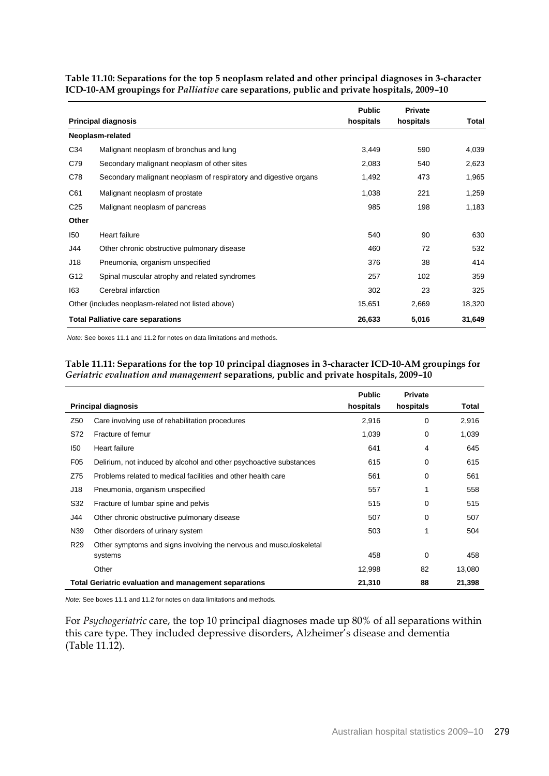|                 |                                                                  | <b>Public</b> | <b>Private</b> |        |
|-----------------|------------------------------------------------------------------|---------------|----------------|--------|
|                 | <b>Principal diagnosis</b>                                       | hospitals     | hospitals      | Total  |
|                 | Neoplasm-related                                                 |               |                |        |
| C34             | Malignant neoplasm of bronchus and lung                          | 3,449         | 590            | 4,039  |
| C79             | Secondary malignant neoplasm of other sites                      | 2,083         | 540            | 2,623  |
| C78             | Secondary malignant neoplasm of respiratory and digestive organs | 1,492         | 473            | 1,965  |
| C61             | Malignant neoplasm of prostate                                   | 1,038         | 221            | 1,259  |
| C <sub>25</sub> | Malignant neoplasm of pancreas                                   | 985           | 198            | 1,183  |
| Other           |                                                                  |               |                |        |
| 150             | Heart failure                                                    | 540           | 90             | 630    |
| J44             | Other chronic obstructive pulmonary disease                      | 460           | 72             | 532    |
| J18             | Pneumonia, organism unspecified                                  | 376           | 38             | 414    |
| G12             | Spinal muscular atrophy and related syndromes                    | 257           | 102            | 359    |
| 163             | Cerebral infarction                                              | 302           | 23             | 325    |
|                 | Other (includes neoplasm-related not listed above)               | 15,651        | 2,669          | 18,320 |
|                 | <b>Total Palliative care separations</b>                         | 26,633        | 5,016          | 31,649 |

**Table 11.10: Separations for the top 5 neoplasm related and other principal diagnoses in 3-character ICD-10-AM groupings for** *Palliative* **care separations, public and private hospitals, 2009–10** 

*Note:* See boxes 11.1 and 11.2 for notes on data limitations and methods.

#### **Table 11.11: Separations for the top 10 principal diagnoses in 3-character ICD-10-AM groupings for**  *Geriatric evaluation and management* **separations, public and private hospitals, 2009–10**

|                 | <b>Principal diagnosis</b>                                         | <b>Public</b><br>hospitals | <b>Private</b><br>hospitals | Total  |
|-----------------|--------------------------------------------------------------------|----------------------------|-----------------------------|--------|
| Z50             | Care involving use of rehabilitation procedures                    | 2,916                      | $\mathbf 0$                 | 2,916  |
| S72             | Fracture of femur                                                  | 1,039                      | 0                           | 1,039  |
| 150             | Heart failure                                                      | 641                        | 4                           | 645    |
| F <sub>05</sub> | Delirium, not induced by alcohol and other psychoactive substances | 615                        | 0                           | 615    |
| Z75             | Problems related to medical facilities and other health care       | 561                        | 0                           | 561    |
| J18             | Pneumonia, organism unspecified                                    | 557                        | 1                           | 558    |
| S32             | Fracture of lumbar spine and pelvis                                | 515                        | 0                           | 515    |
| J44             | Other chronic obstructive pulmonary disease                        | 507                        | 0                           | 507    |
| N39             | Other disorders of urinary system                                  | 503                        | 1                           | 504    |
| R <sub>29</sub> | Other symptoms and signs involving the nervous and musculoskeletal |                            |                             |        |
|                 | systems                                                            | 458                        | $\mathbf 0$                 | 458    |
|                 | Other                                                              | 12,998                     | 82                          | 13,080 |
|                 | <b>Total Geriatric evaluation and management separations</b>       | 21,310                     | 88                          | 21,398 |

*Note:* See boxes 11.1 and 11.2 for notes on data limitations and methods.

For *Psychogeriatric* care, the top 10 principal diagnoses made up 80% of all separations within this care type. They included depressive disorders, Alzheimer's disease and dementia (Table 11.12).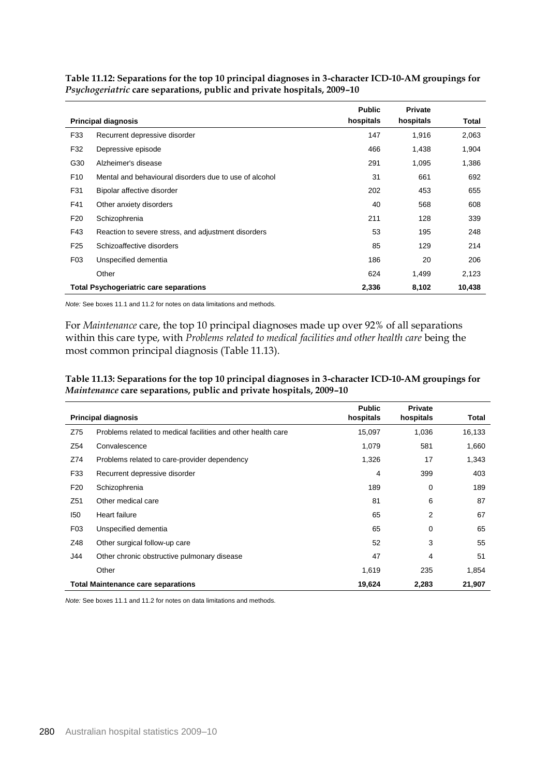|                 |                                                        | <b>Public</b> | <b>Private</b> |        |
|-----------------|--------------------------------------------------------|---------------|----------------|--------|
|                 | <b>Principal diagnosis</b>                             | hospitals     | hospitals      | Total  |
| F33             | Recurrent depressive disorder                          | 147           | 1,916          | 2,063  |
| F32             | Depressive episode                                     | 466           | 1,438          | 1,904  |
| G30             | Alzheimer's disease                                    | 291           | 1,095          | 1,386  |
| F <sub>10</sub> | Mental and behavioural disorders due to use of alcohol | 31            | 661            | 692    |
| F31             | Bipolar affective disorder                             | 202           | 453            | 655    |
| F41             | Other anxiety disorders                                | 40            | 568            | 608    |
| F <sub>20</sub> | Schizophrenia                                          | 211           | 128            | 339    |
| F43             | Reaction to severe stress, and adjustment disorders    | 53            | 195            | 248    |
| F <sub>25</sub> | Schizoaffective disorders                              | 85            | 129            | 214    |
| F <sub>03</sub> | Unspecified dementia                                   | 186           | 20             | 206    |
|                 | Other                                                  | 624           | 1,499          | 2,123  |
|                 | <b>Total Psychogeriatric care separations</b>          | 2,336         | 8,102          | 10,438 |

**Table 11.12: Separations for the top 10 principal diagnoses in 3-character ICD-10-AM groupings for**  *Psychogeriatric* **care separations, public and private hospitals, 2009–10**

*Note:* See boxes 11.1 and 11.2 for notes on data limitations and methods.

For *Maintenance* care, the top 10 principal diagnoses made up over 92% of all separations within this care type, with *Problems related to medical facilities and other health care* being the most common principal diagnosis (Table 11.13).

**Table 11.13: Separations for the top 10 principal diagnoses in 3-character ICD-10-AM groupings for**  *Maintenance* **care separations, public and private hospitals, 2009–10**

|                 | <b>Principal diagnosis</b>                                   | <b>Public</b><br>hospitals | <b>Private</b><br>hospitals | Total  |
|-----------------|--------------------------------------------------------------|----------------------------|-----------------------------|--------|
| Z75             | Problems related to medical facilities and other health care | 15,097                     | 1,036                       | 16,133 |
| Z54             | Convalescence                                                | 1,079                      | 581                         | 1,660  |
| Z74             | Problems related to care-provider dependency                 | 1,326                      | 17                          | 1,343  |
| F33             | Recurrent depressive disorder                                | 4                          | 399                         | 403    |
| F <sub>20</sub> | Schizophrenia                                                | 189                        | 0                           | 189    |
| Z51             | Other medical care                                           | 81                         | 6                           | 87     |
| 150             | Heart failure                                                | 65                         | 2                           | 67     |
| F <sub>03</sub> | Unspecified dementia                                         | 65                         | $\mathbf 0$                 | 65     |
| Z48             | Other surgical follow-up care                                | 52                         | 3                           | 55     |
| J44             | Other chronic obstructive pulmonary disease                  | 47                         | 4                           | 51     |
|                 | Other                                                        | 1,619                      | 235                         | 1,854  |
|                 | <b>Total Maintenance care separations</b>                    | 19,624                     | 2,283                       | 21,907 |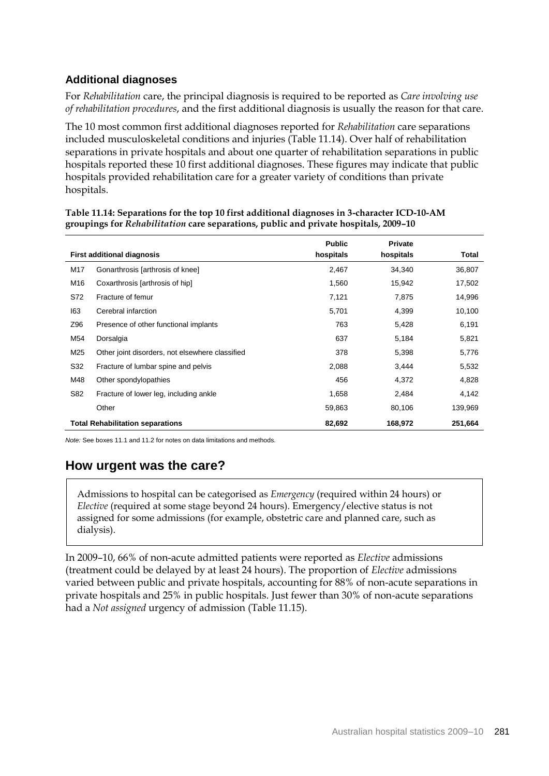### **Additional diagnoses**

For *Rehabilitation* care, the principal diagnosis is required to be reported as *Care involving use of rehabilitation procedures*, and the first additional diagnosis is usually the reason for that care.

The 10 most common first additional diagnoses reported for *Rehabilitation* care separations included musculoskeletal conditions and injuries (Table 11.14). Over half of rehabilitation separations in private hospitals and about one quarter of rehabilitation separations in public hospitals reported these 10 first additional diagnoses. These figures may indicate that public hospitals provided rehabilitation care for a greater variety of conditions than private hospitals.

|     |                                                 | <b>Public</b> | <b>Private</b> |         |
|-----|-------------------------------------------------|---------------|----------------|---------|
|     | <b>First additional diagnosis</b>               | hospitals     | hospitals      | Total   |
| M17 | Gonarthrosis [arthrosis of knee]                | 2,467         | 34,340         | 36,807  |
| M16 | Coxarthrosis [arthrosis of hip]                 | 1,560         | 15,942         | 17,502  |
| S72 | Fracture of femur                               | 7,121         | 7,875          | 14,996  |
| 163 | Cerebral infarction                             | 5,701         | 4,399          | 10,100  |
| Z96 | Presence of other functional implants           | 763           | 5,428          | 6,191   |
| M54 | Dorsalgia                                       | 637           | 5,184          | 5,821   |
| M25 | Other joint disorders, not elsewhere classified | 378           | 5,398          | 5,776   |
| S32 | Fracture of lumbar spine and pelvis             | 2,088         | 3,444          | 5,532   |
| M48 | Other spondylopathies                           | 456           | 4,372          | 4,828   |
| S82 | Fracture of lower leg, including ankle          | 1,658         | 2,484          | 4,142   |
|     | Other                                           | 59,863        | 80,106         | 139,969 |
|     | <b>Total Rehabilitation separations</b>         | 82,692        | 168,972        | 251,664 |

#### **Table 11.14: Separations for the top 10 first additional diagnoses in 3-character ICD-10-AM groupings for** *Rehabilitation* **care separations, public and private hospitals, 2009–10**

*Note:* See boxes 11.1 and 11.2 for notes on data limitations and methods.

## **How urgent was the care?**

Admissions to hospital can be categorised as *Emergency* (required within 24 hours) or *Elective* (required at some stage beyond 24 hours). Emergency/elective status is not assigned for some admissions (for example, obstetric care and planned care, such as dialysis).

In 2009–10, 66% of non-acute admitted patients were reported as *Elective* admissions (treatment could be delayed by at least 24 hours). The proportion of *Elective* admissions varied between public and private hospitals, accounting for 88% of non-acute separations in private hospitals and 25% in public hospitals. Just fewer than 30% of non-acute separations had a *Not assigned* urgency of admission (Table 11.15).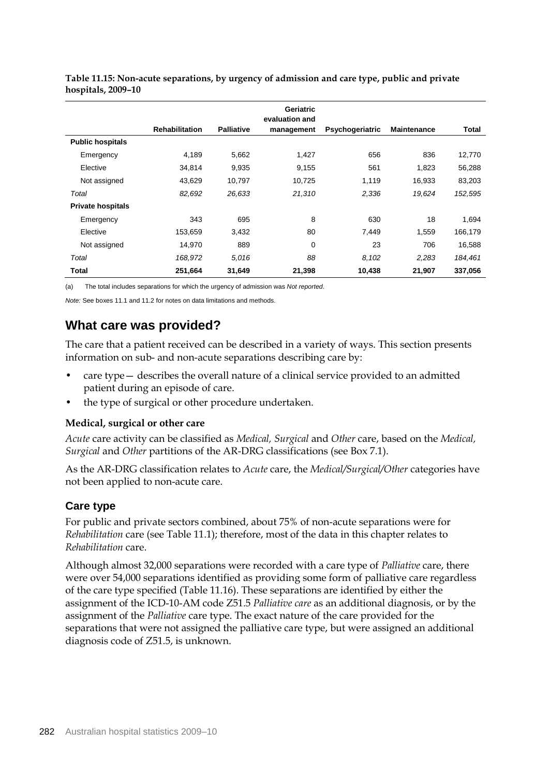|                          |                       |                   | Geriatric<br>evaluation and |                 |                    |         |
|--------------------------|-----------------------|-------------------|-----------------------------|-----------------|--------------------|---------|
|                          | <b>Rehabilitation</b> | <b>Palliative</b> | management                  | Psychogeriatric | <b>Maintenance</b> | Total   |
| <b>Public hospitals</b>  |                       |                   |                             |                 |                    |         |
| Emergency                | 4,189                 | 5,662             | 1,427                       | 656             | 836                | 12,770  |
| Elective                 | 34.814                | 9,935             | 9,155                       | 561             | 1,823              | 56,288  |
| Not assigned             | 43,629                | 10,797            | 10,725                      | 1,119           | 16,933             | 83,203  |
| Total                    | 82,692                | 26,633            | 21,310                      | 2,336           | 19,624             | 152,595 |
| <b>Private hospitals</b> |                       |                   |                             |                 |                    |         |
| Emergency                | 343                   | 695               | 8                           | 630             | 18                 | 1,694   |
| Elective                 | 153,659               | 3,432             | 80                          | 7,449           | 1.559              | 166,179 |
| Not assigned             | 14,970                | 889               | 0                           | 23              | 706                | 16,588  |
| Total                    | 168,972               | 5.016             | 88                          | 8,102           | 2,283              | 184,461 |
| Total                    | 251,664               | 31,649            | 21,398                      | 10,438          | 21,907             | 337,056 |

**Table 11.15: Non-acute separations, by urgency of admission and care type, public and private hospitals, 2009–10**

(a) The total includes separations for which the urgency of admission was *Not reported*.

*Note:* See boxes 11.1 and 11.2 for notes on data limitations and methods.

## **What care was provided?**

The care that a patient received can be described in a variety of ways. This section presents information on sub- and non-acute separations describing care by:

- care type— describes the overall nature of a clinical service provided to an admitted patient during an episode of care.
- the type of surgical or other procedure undertaken.

#### **Medical, surgical or other care**

*Acute* care activity can be classified as *Medical, Surgical* and *Other* care, based on the *Medical, Surgical* and *Other* partitions of the AR-DRG classifications (see Box 7.1).

As the AR-DRG classification relates to *Acute* care, the *Medical/Surgical/Other* categories have not been applied to non-acute care.

#### **Care type**

For public and private sectors combined, about 75% of non-acute separations were for *Rehabilitation* care (see Table 11.1); therefore, most of the data in this chapter relates to *Rehabilitation* care.

Although almost 32,000 separations were recorded with a care type of *Palliative* care, there were over 54,000 separations identified as providing some form of palliative care regardless of the care type specified (Table 11.16). These separations are identified by either the assignment of the ICD-10-AM code Z51.5 *Palliative care* as an additional diagnosis, or by the assignment of the *Palliative* care type. The exact nature of the care provided for the separations that were not assigned the palliative care type, but were assigned an additional diagnosis code of Z51.5, is unknown.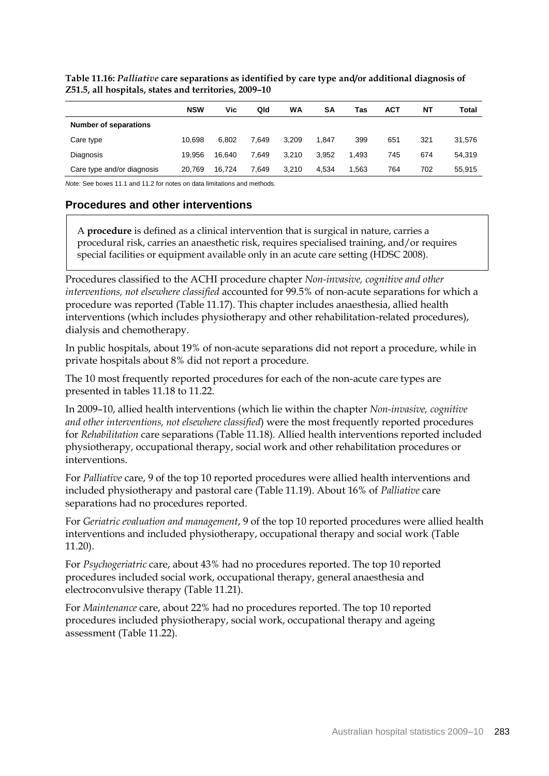|                              | <b>NSW</b> | Vic    | Qld   | WA    | <b>SA</b> | Tas   | ACT | NΤ  | Total  |
|------------------------------|------------|--------|-------|-------|-----------|-------|-----|-----|--------|
| <b>Number of separations</b> |            |        |       |       |           |       |     |     |        |
| Care type                    | 10.698     | 6.802  | 7.649 | 3.209 | 1.847     | 399   | 651 | 321 | 31,576 |
| Diagnosis                    | 19.956     | 16.640 | 7.649 | 3.210 | 3.952     | 1.493 | 745 | 674 | 54,319 |
| Care type and/or diagnosis   | 20.769     | 16.724 | 7.649 | 3.210 | 4.534     | 1.563 | 764 | 702 | 55,915 |

**Table 11.16:** *Palliative* **care separations as identified by care type and/or additional diagnosis of Z51.5, all hospitals, states and territories, 2009–10**

*Note:* See boxes 11.1 and 11.2 for notes on data limitations and methods.

#### **Procedures and other interventions**

A **procedure** is defined as a clinical intervention that is surgical in nature, carries a procedural risk, carries an anaesthetic risk, requires specialised training, and/or requires special facilities or equipment available only in an acute care setting (HDSC 2008).

Procedures classified to the ACHI procedure chapter *Non-invasive, cognitive and other interventions, not elsewhere classified* accounted for 99.5% of non-acute separations for which a procedure was reported (Table 11.17). This chapter includes anaesthesia, allied health interventions (which includes physiotherapy and other rehabilitation-related procedures), dialysis and chemotherapy.

In public hospitals, about 19% of non-acute separations did not report a procedure, while in private hospitals about 8% did not report a procedure.

The 10 most frequently reported procedures for each of the non-acute care types are presented in tables 11.18 to 11.22.

In 2009–10, allied health interventions (which lie within the chapter *Non-invasive, cognitive and other interventions, not elsewhere classified*) were the most frequently reported procedures for *Rehabilitation* care separations (Table 11.18)*.* Allied health interventions reported included physiotherapy, occupational therapy, social work and other rehabilitation procedures or interventions.

For *Palliative* care, 9 of the top 10 reported procedures were allied health interventions and included physiotherapy and pastoral care (Table 11.19). About 16% of *Palliative* care separations had no procedures reported.

For *Geriatric evaluation and management*, 9 of the top 10 reported procedures were allied health interventions and included physiotherapy, occupational therapy and social work (Table 11.20).

For *Psychogeriatric* care, about 43% had no procedures reported. The top 10 reported procedures included social work, occupational therapy, general anaesthesia and electroconvulsive therapy (Table 11.21).

For *Maintenance* care, about 22% had no procedures reported. The top 10 reported procedures included physiotherapy, social work, occupational therapy and ageing assessment (Table 11.22).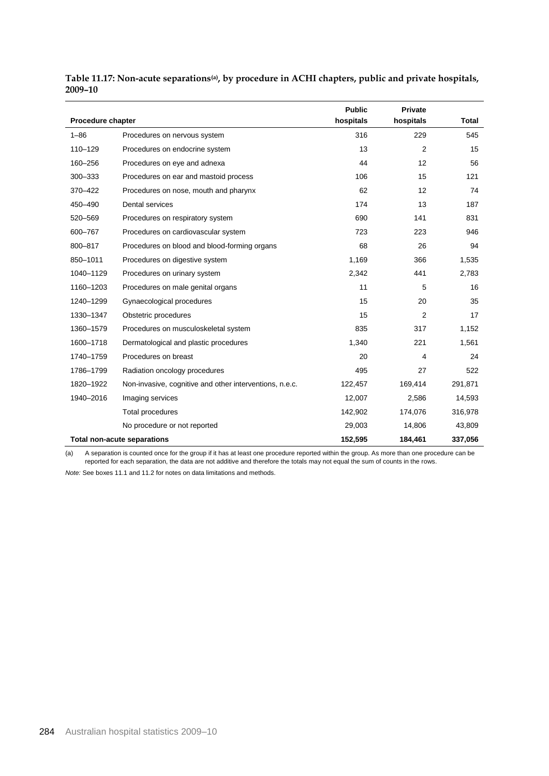| Procedure chapter |                                                         | <b>Public</b><br>hospitals | Private<br>hospitals | <b>Total</b> |
|-------------------|---------------------------------------------------------|----------------------------|----------------------|--------------|
| $1 - 86$          | Procedures on nervous system                            | 316                        | 229                  | 545          |
| 110-129           | Procedures on endocrine system                          | 13                         | 2                    | 15           |
| 160-256           | Procedures on eye and adnexa                            | 44                         | 12                   | 56           |
| 300-333           | Procedures on ear and mastoid process                   | 106                        | 15                   | 121          |
| 370-422           | Procedures on nose, mouth and pharynx                   | 62                         | 12                   | 74           |
| 450-490           | Dental services                                         | 174                        | 13                   | 187          |
| 520-569           | Procedures on respiratory system                        | 690                        | 141                  | 831          |
| 600-767           | Procedures on cardiovascular system                     | 723                        | 223                  | 946          |
| 800-817           | Procedures on blood and blood-forming organs            | 68                         | 26                   | 94           |
| 850-1011          | Procedures on digestive system                          | 1,169                      | 366                  | 1,535        |
| 1040-1129         | Procedures on urinary system                            | 2,342                      | 441                  | 2,783        |
| 1160-1203         | Procedures on male genital organs                       | 11                         | 5                    | 16           |
| 1240-1299         | Gynaecological procedures                               | 15                         | 20                   | 35           |
| 1330-1347         | Obstetric procedures                                    | 15                         | 2                    | 17           |
| 1360-1579         | Procedures on musculoskeletal system                    | 835                        | 317                  | 1,152        |
| 1600-1718         | Dermatological and plastic procedures                   | 1,340                      | 221                  | 1,561        |
| 1740-1759         | Procedures on breast                                    | 20                         | 4                    | 24           |
| 1786-1799         | Radiation oncology procedures                           | 495                        | 27                   | 522          |
| 1820-1922         | Non-invasive, cognitive and other interventions, n.e.c. | 122,457                    | 169,414              | 291,871      |
| 1940-2016         | Imaging services                                        | 12,007                     | 2,586                | 14,593       |
|                   | Total procedures                                        | 142,902                    | 174,076              | 316,978      |
|                   | No procedure or not reported                            | 29,003                     | 14,806               | 43,809       |
|                   | <b>Total non-acute separations</b>                      | 152,595                    | 184,461              | 337,056      |

**Table 11.17: Non-acute separations(a), by procedure in ACHI chapters, public and private hospitals, 2009–10**

(a) A separation is counted once for the group if it has at least one procedure reported within the group. As more than one procedure can be reported for each separation, the data are not additive and therefore the totals may not equal the sum of counts in the rows.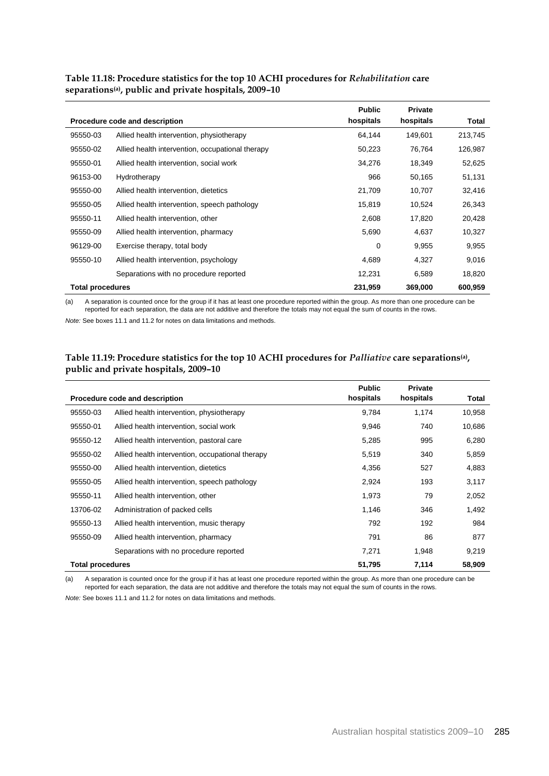|                         |                                                  | <b>Public</b> | <b>Private</b> |         |
|-------------------------|--------------------------------------------------|---------------|----------------|---------|
|                         | Procedure code and description                   | hospitals     | hospitals      | Total   |
| 95550-03                | Allied health intervention, physiotherapy        | 64,144        | 149,601        | 213,745 |
| 95550-02                | Allied health intervention, occupational therapy | 50,223        | 76,764         | 126,987 |
| 95550-01                | Allied health intervention, social work          | 34,276        | 18,349         | 52,625  |
| 96153-00                | Hydrotherapy                                     | 966           | 50,165         | 51,131  |
| 95550-00                | Allied health intervention, dietetics            | 21,709        | 10,707         | 32,416  |
| 95550-05                | Allied health intervention, speech pathology     | 15,819        | 10,524         | 26,343  |
| 95550-11                | Allied health intervention, other                | 2,608         | 17,820         | 20,428  |
| 95550-09                | Allied health intervention, pharmacy             | 5,690         | 4,637          | 10,327  |
| 96129-00                | Exercise therapy, total body                     | 0             | 9,955          | 9,955   |
| 95550-10                | Allied health intervention, psychology           | 4,689         | 4,327          | 9,016   |
|                         | Separations with no procedure reported           | 12,231        | 6,589          | 18,820  |
| <b>Total procedures</b> |                                                  | 231,959       | 369,000        | 600,959 |

**Table 11.18: Procedure statistics for the top 10 ACHI procedures for** *Rehabilitation* **care separations(a), public and private hospitals, 2009–10**

(a) A separation is counted once for the group if it has at least one procedure reported within the group. As more than one procedure can be reported for each separation, the data are not additive and therefore the totals may not equal the sum of counts in the rows.

*Note:* See boxes 11.1 and 11.2 for notes on data limitations and methods.

#### **Table 11.19: Procedure statistics for the top 10 ACHI procedures for** *Palliative* **care separations(a) , public and private hospitals, 2009–10**

|                         | Procedure code and description                   | <b>Public</b><br>hospitals | <b>Private</b><br>hospitals | Total  |
|-------------------------|--------------------------------------------------|----------------------------|-----------------------------|--------|
|                         |                                                  |                            |                             |        |
| 95550-03                | Allied health intervention, physiotherapy        | 9,784                      | 1,174                       | 10,958 |
| 95550-01                | Allied health intervention, social work          | 9,946                      | 740                         | 10,686 |
| 95550-12                | Allied health intervention, pastoral care        | 5,285                      | 995                         | 6,280  |
| 95550-02                | Allied health intervention, occupational therapy | 5,519                      | 340                         | 5,859  |
| 95550-00                | Allied health intervention, dietetics            | 4,356                      | 527                         | 4,883  |
| 95550-05                | Allied health intervention, speech pathology     | 2,924                      | 193                         | 3,117  |
| 95550-11                | Allied health intervention, other                | 1,973                      | 79                          | 2,052  |
| 13706-02                | Administration of packed cells                   | 1,146                      | 346                         | 1,492  |
| 95550-13                | Allied health intervention, music therapy        | 792                        | 192                         | 984    |
| 95550-09                | Allied health intervention, pharmacy             | 791                        | 86                          | 877    |
|                         | Separations with no procedure reported           | 7,271                      | 1,948                       | 9,219  |
| <b>Total procedures</b> |                                                  | 51,795                     | 7,114                       | 58,909 |

(a) A separation is counted once for the group if it has at least one procedure reported within the group. As more than one procedure can be reported for each separation, the data are not additive and therefore the totals may not equal the sum of counts in the rows.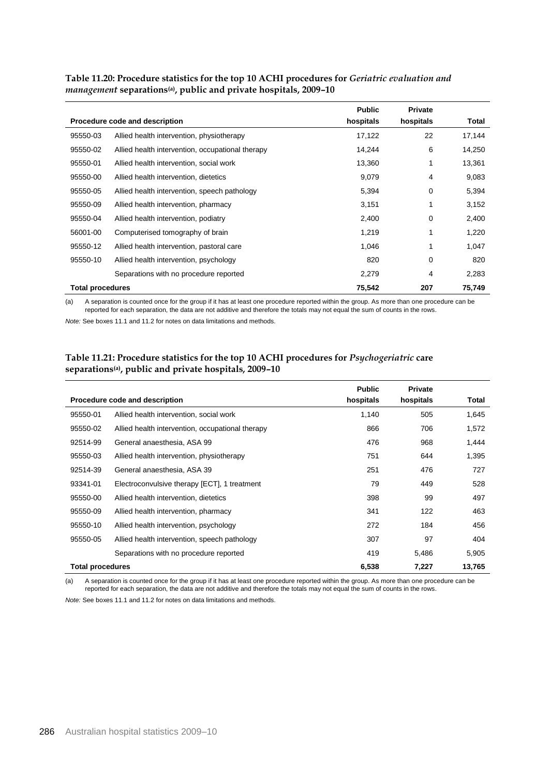|                         |                                                  | <b>Public</b> | <b>Private</b> |        |
|-------------------------|--------------------------------------------------|---------------|----------------|--------|
|                         | Procedure code and description                   | hospitals     | hospitals      | Total  |
| 95550-03                | Allied health intervention, physiotherapy        | 17,122        | 22             | 17,144 |
| 95550-02                | Allied health intervention, occupational therapy | 14,244        | 6              | 14,250 |
| 95550-01                | Allied health intervention, social work          | 13,360        |                | 13,361 |
| 95550-00                | Allied health intervention, dietetics            | 9,079         | 4              | 9,083  |
| 95550-05                | Allied health intervention, speech pathology     | 5,394         | 0              | 5,394  |
| 95550-09                | Allied health intervention, pharmacy             | 3,151         | 1              | 3,152  |
| 95550-04                | Allied health intervention, podiatry             | 2,400         | 0              | 2,400  |
| 56001-00                | Computerised tomography of brain                 | 1,219         |                | 1,220  |
| 95550-12                | Allied health intervention, pastoral care        | 1,046         |                | 1,047  |
| 95550-10                | Allied health intervention, psychology           | 820           | 0              | 820    |
|                         | Separations with no procedure reported           | 2,279         | 4              | 2,283  |
| <b>Total procedures</b> |                                                  | 75,542        | 207            | 75,749 |

**Table 11.20: Procedure statistics for the top 10 ACHI procedures for** *Geriatric evaluation and management* **separations(a), public and private hospitals, 2009–10**

(a) A separation is counted once for the group if it has at least one procedure reported within the group. As more than one procedure can be reported for each separation, the data are not additive and therefore the totals may not equal the sum of counts in the rows.

*Note:* See boxes 11.1 and 11.2 for notes on data limitations and methods.

#### **Table 11.21: Procedure statistics for the top 10 ACHI procedures for** *Psychogeriatric* **care separations(a), public and private hospitals, 2009–10**

|                         |                                                  | <b>Public</b> | <b>Private</b> |        |
|-------------------------|--------------------------------------------------|---------------|----------------|--------|
|                         | Procedure code and description                   | hospitals     | hospitals      | Total  |
| 95550-01                | Allied health intervention, social work          | 1,140         | 505            | 1,645  |
| 95550-02                | Allied health intervention, occupational therapy | 866           | 706            | 1,572  |
| 92514-99                | General anaesthesia, ASA 99                      | 476           | 968            | 1,444  |
| 95550-03                | Allied health intervention, physiotherapy        | 751           | 644            | 1,395  |
| 92514-39                | General anaesthesia, ASA 39                      | 251           | 476            | 727    |
| 93341-01                | Electroconvulsive therapy [ECT], 1 treatment     | 79            | 449            | 528    |
| 95550-00                | Allied health intervention, dietetics            | 398           | 99             | 497    |
| 95550-09                | Allied health intervention, pharmacy             | 341           | 122            | 463    |
| 95550-10                | Allied health intervention, psychology           | 272           | 184            | 456    |
| 95550-05                | Allied health intervention, speech pathology     | 307           | 97             | 404    |
|                         | Separations with no procedure reported           | 419           | 5,486          | 5,905  |
| <b>Total procedures</b> |                                                  | 6,538         | 7,227          | 13,765 |

(a) A separation is counted once for the group if it has at least one procedure reported within the group. As more than one procedure can be reported for each separation, the data are not additive and therefore the totals may not equal the sum of counts in the rows.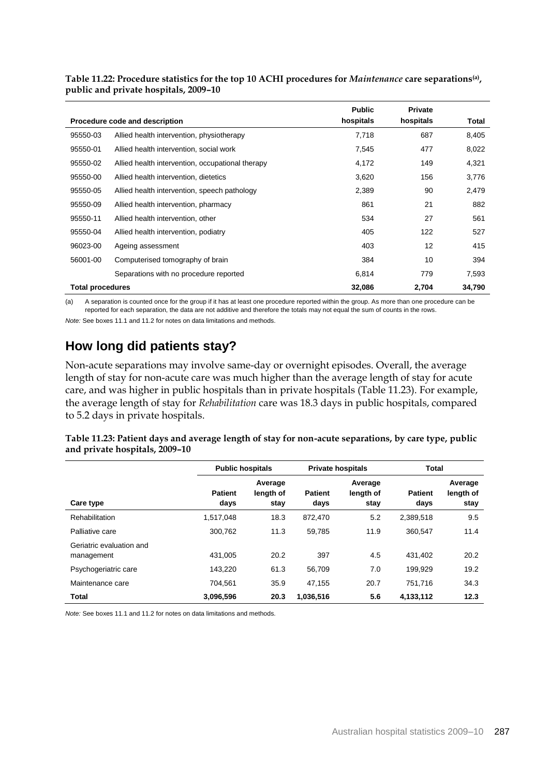|                         |                                                  | <b>Public</b> | <b>Private</b> |        |
|-------------------------|--------------------------------------------------|---------------|----------------|--------|
|                         | Procedure code and description                   |               | hospitals      | Total  |
| 95550-03                | Allied health intervention, physiotherapy        | 7,718         | 687            | 8,405  |
| 95550-01                | Allied health intervention, social work          | 7,545         | 477            | 8,022  |
| 95550-02                | Allied health intervention, occupational therapy | 4,172         | 149            | 4,321  |
| 95550-00                | Allied health intervention, dietetics            | 3,620         | 156            | 3,776  |
| 95550-05                | Allied health intervention, speech pathology     | 2,389         | 90             | 2,479  |
| 95550-09                | Allied health intervention, pharmacy             | 861           | 21             | 882    |
| 95550-11                | Allied health intervention, other                | 534           | 27             | 561    |
| 95550-04                | Allied health intervention, podiatry             | 405           | 122            | 527    |
| 96023-00                | Ageing assessment                                | 403           | 12             | 415    |
| 56001-00                | Computerised tomography of brain                 | 384           | 10             | 394    |
|                         | Separations with no procedure reported           | 6,814         | 779            | 7,593  |
| <b>Total procedures</b> |                                                  | 32,086        | 2,704          | 34,790 |

**Table 11.22: Procedure statistics for the top 10 ACHI procedures for** *Maintenance* **care separations(a) , public and private hospitals, 2009–10**

(a) A separation is counted once for the group if it has at least one procedure reported within the group. As more than one procedure can be reported for each separation, the data are not additive and therefore the totals may not equal the sum of counts in the rows.

*Note:* See boxes 11.1 and 11.2 for notes on data limitations and methods.

## **How long did patients stay?**

Non-acute separations may involve same-day or overnight episodes. Overall, the average length of stay for non-acute care was much higher than the average length of stay for acute care, and was higher in public hospitals than in private hospitals (Table 11.23). For example, the average length of stay for *Rehabilitation* care was 18.3 days in public hospitals, compared to 5.2 days in private hospitals.

| Table 11.23: Patient days and average length of stay for non-acute separations, by care type, public |  |
|------------------------------------------------------------------------------------------------------|--|
| and private hospitals, 2009–10                                                                       |  |

|                                        | <b>Public hospitals</b> |                              |                        | <b>Private hospitals</b>     |                        | Total                        |  |
|----------------------------------------|-------------------------|------------------------------|------------------------|------------------------------|------------------------|------------------------------|--|
| Care type                              | <b>Patient</b><br>days  | Average<br>length of<br>stav | <b>Patient</b><br>days | Average<br>length of<br>stay | <b>Patient</b><br>days | Average<br>length of<br>stay |  |
| Rehabilitation                         | 1,517,048               | 18.3                         | 872.470                | 5.2                          | 2,389,518              | 9.5                          |  |
| Palliative care                        | 300.762                 | 11.3                         | 59.785                 | 11.9                         | 360.547                | 11.4                         |  |
| Geriatric evaluation and<br>management | 431.005                 | 20.2                         | 397                    | 4.5                          | 431.402                | 20.2                         |  |
| Psychogeriatric care                   | 143.220                 | 61.3                         | 56.709                 | 7.0                          | 199.929                | 19.2                         |  |
| Maintenance care                       | 704.561                 | 35.9                         | 47.155                 | 20.7                         | 751.716                | 34.3                         |  |
| <b>Total</b>                           | 3.096.596               | 20.3                         | 1.036.516              | 5.6                          | 4.133.112              | 12.3                         |  |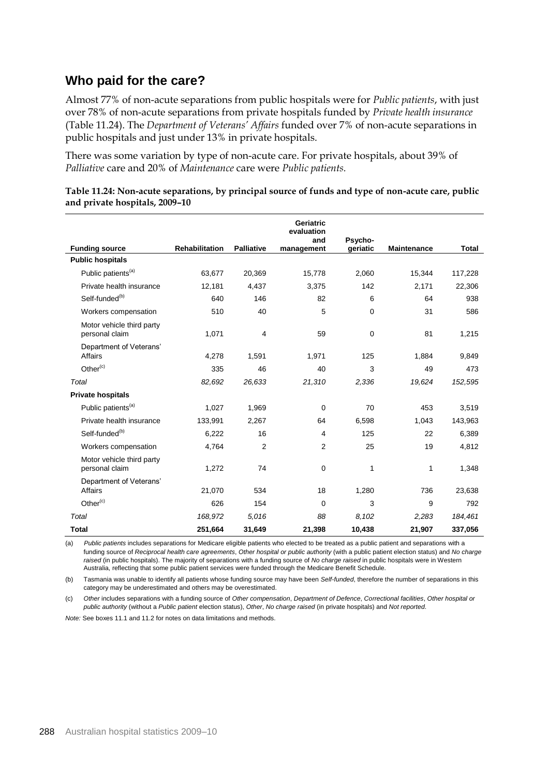## **Who paid for the care?**

Almost 77% of non-acute separations from public hospitals were for *Public patients*, with just over 78% of non-acute separations from private hospitals funded by *Private health insurance* (Table 11.24). The *Department of Veterans' Affairs* funded over 7% of non-acute separations in public hospitals and just under 13% in private hospitals.

There was some variation by type of non-acute care. For private hospitals, about 39% of *Palliative* care and 20% of *Maintenance* care were *Public patients.*

|                                             |                |                   | Geriatric<br>evaluation |                     |                    |              |
|---------------------------------------------|----------------|-------------------|-------------------------|---------------------|--------------------|--------------|
| <b>Funding source</b>                       | Rehabilitation | <b>Palliative</b> | and<br>management       | Psycho-<br>geriatic | <b>Maintenance</b> | <b>Total</b> |
| <b>Public hospitals</b>                     |                |                   |                         |                     |                    |              |
| Public patients <sup>(a)</sup>              | 63,677         | 20,369            | 15,778                  | 2,060               | 15,344             | 117,228      |
| Private health insurance                    | 12,181         | 4,437             | 3,375                   | 142                 | 2,171              | 22,306       |
| Self-funded <sup>(b)</sup>                  | 640            | 146               | 82                      | 6                   | 64                 | 938          |
| Workers compensation                        | 510            | 40                | 5                       | $\mathbf 0$         | 31                 | 586          |
| Motor vehicle third party<br>personal claim | 1,071          | 4                 | 59                      | $\mathbf 0$         | 81                 | 1,215        |
| Department of Veterans'<br><b>Affairs</b>   | 4,278          | 1,591             | 1,971                   | 125                 | 1,884              | 9,849        |
| Other $(c)$                                 | 335            | 46                | 40                      | 3                   | 49                 | 473          |
| Total                                       | 82,692         | 26,633            | 21,310                  | 2,336               | 19,624             | 152,595      |
| <b>Private hospitals</b>                    |                |                   |                         |                     |                    |              |
| Public patients <sup>(a)</sup>              | 1,027          | 1,969             | $\mathbf 0$             | 70                  | 453                | 3,519        |
| Private health insurance                    | 133,991        | 2,267             | 64                      | 6,598               | 1,043              | 143,963      |
| Self-funded <sup>(b)</sup>                  | 6,222          | 16                | 4                       | 125                 | 22                 | 6,389        |
| Workers compensation                        | 4,764          | $\overline{2}$    | 2                       | 25                  | 19                 | 4,812        |
| Motor vehicle third party<br>personal claim | 1,272          | 74                | $\mathbf 0$             | 1                   | 1                  | 1,348        |
| Department of Veterans'<br><b>Affairs</b>   | 21,070         | 534               | 18                      | 1,280               | 736                | 23,638       |
| Other $(c)$                                 | 626            | 154               | $\mathbf 0$             | 3                   | 9                  | 792          |
| Total                                       | 168,972        | 5,016             | 88                      | 8,102               | 2,283              | 184,461      |
| <b>Total</b>                                | 251,664        | 31.649            | 21.398                  | 10.438              | 21,907             | 337.056      |

**Table 11.24: Non-acute separations, by principal source of funds and type of non-acute care, public and private hospitals, 2009–10**

(a) *Public patients* includes separations for Medicare eligible patients who elected to be treated as a public patient and separations with a funding source of *Reciprocal health care agreements*, *Other hospital or public authority* (with a public patient election status) and *No charge raised* (in public hospitals). The majority of separations with a funding source of *No charge raised* in public hospitals were in Western Australia, reflecting that some public patient services were funded through the Medicare Benefit Schedule.

(b) Tasmania was unable to identify all patients whose funding source may have been *Self-funded*, therefore the number of separations in this category may be underestimated and others may be overestimated.

(c) *Other* includes separations with a funding source of *Other compensation*, *Department of Defence*, *Correctional facilities*, *Other hospital or public authority* (without a *Public patient* election status), *Other*, *No charge raised* (in private hospitals) and *Not reported*.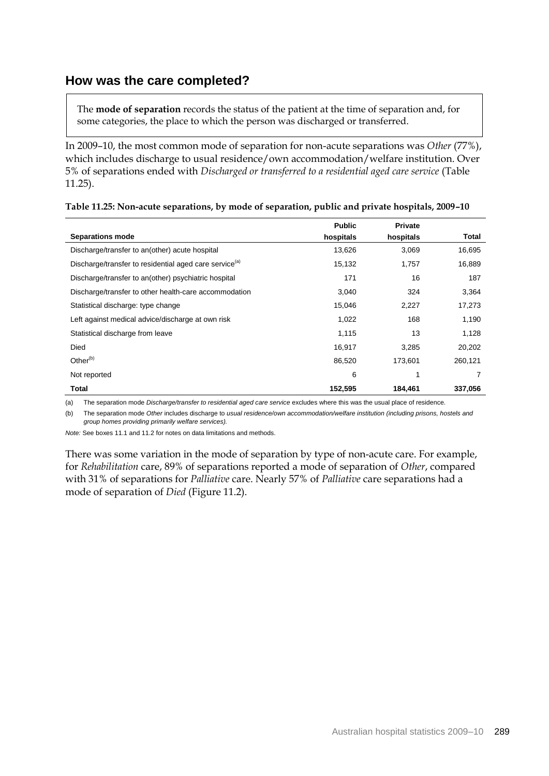## **How was the care completed?**

The **mode of separation** records the status of the patient at the time of separation and, for some categories, the place to which the person was discharged or transferred.

In 2009–10, the most common mode of separation for non-acute separations was *Other* (77%), which includes discharge to usual residence/own accommodation/welfare institution. Over 5% of separations ended with *Discharged or transferred to a residential aged care service* (Table 11.25).

|                                                                    | <b>Public</b> | <b>Private</b> |         |
|--------------------------------------------------------------------|---------------|----------------|---------|
| <b>Separations mode</b>                                            | hospitals     | hospitals      | Total   |
| Discharge/transfer to an(other) acute hospital                     | 13,626        | 3,069          | 16,695  |
| Discharge/transfer to residential aged care service <sup>(a)</sup> | 15,132        | 1,757          | 16,889  |
| Discharge/transfer to an(other) psychiatric hospital               | 171           | 16             | 187     |
| Discharge/transfer to other health-care accommodation              | 3,040         | 324            | 3,364   |
| Statistical discharge: type change                                 | 15,046        | 2,227          | 17,273  |
| Left against medical advice/discharge at own risk                  | 1,022         | 168            | 1,190   |
| Statistical discharge from leave                                   | 1,115         | 13             | 1,128   |
| Died                                                               | 16,917        | 3,285          | 20,202  |
| Other $(b)$                                                        | 86,520        | 173.601        | 260,121 |
| Not reported                                                       | 6             | 1              | 7       |
| <b>Total</b>                                                       | 152,595       | 184,461        | 337,056 |

| Table 11.25: Non-acute separations, by mode of separation, public and private hospitals, 2009-10 |  |  |  |
|--------------------------------------------------------------------------------------------------|--|--|--|
|--------------------------------------------------------------------------------------------------|--|--|--|

(a) The separation mode *Discharge/transfer to residential aged care service* excludes where this was the usual place of residence.

(b) The separation mode *Other* includes discharge to *usual residence/own accommodation/welfare institution (including prisons, hostels and group homes providing primarily welfare services).*

*Note:* See boxes 11.1 and 11.2 for notes on data limitations and methods.

There was some variation in the mode of separation by type of non-acute care. For example, for *Rehabilitation* care, 89% of separations reported a mode of separation of *Other*, compared with 31% of separations for *Palliative* care. Nearly 57% of *Palliative* care separations had a mode of separation of *Died* (Figure 11.2).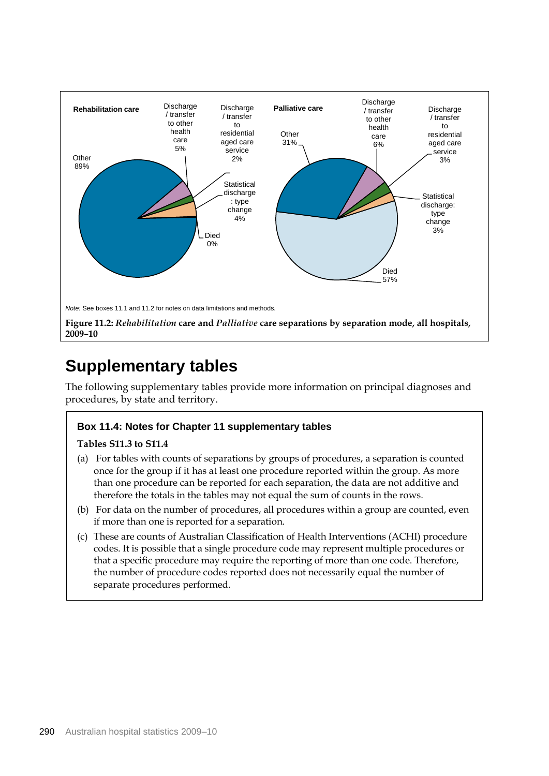

## **Supplementary tables**

The following supplementary tables provide more information on principal diagnoses and procedures, by state and territory.

#### **Box 11.4: Notes for Chapter 11 supplementary tables**

#### **Tables S11.3 to S11.4**

- (a) For tables with counts of separations by groups of procedures, a separation is counted once for the group if it has at least one procedure reported within the group. As more than one procedure can be reported for each separation, the data are not additive and therefore the totals in the tables may not equal the sum of counts in the rows.
- (b) For data on the number of procedures, all procedures within a group are counted, even if more than one is reported for a separation.
- (c) These are counts of Australian Classification of Health Interventions (ACHI) procedure codes. It is possible that a single procedure code may represent multiple procedures or that a specific procedure may require the reporting of more than one code. Therefore, the number of procedure codes reported does not necessarily equal the number of separate procedures performed.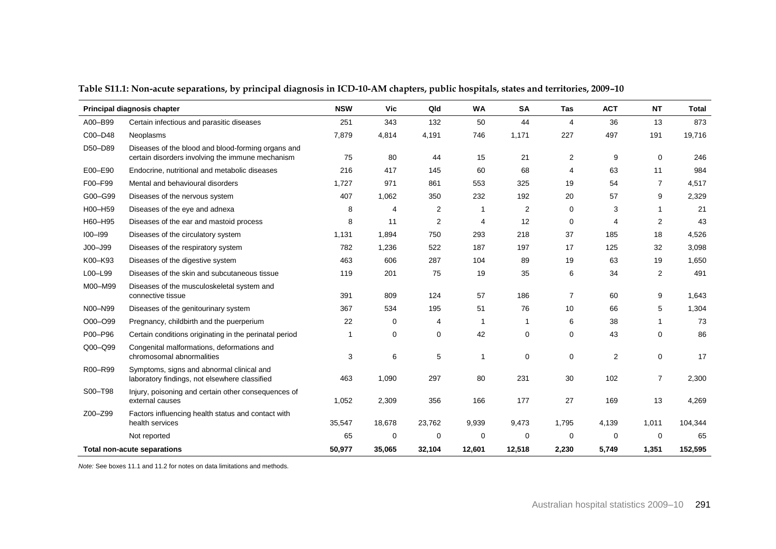|             | Principal diagnosis chapter                                                                            | <b>NSW</b> | Vic      | Qld         | <b>WA</b> | <b>SA</b> | Tas            | <b>ACT</b> | <b>NT</b>      | <b>Total</b> |
|-------------|--------------------------------------------------------------------------------------------------------|------------|----------|-------------|-----------|-----------|----------------|------------|----------------|--------------|
| A00-B99     | Certain infectious and parasitic diseases                                                              | 251        | 343      | 132         | 50        | 44        | 4              | 36         | 13             | 873          |
| C00-D48     | Neoplasms                                                                                              | 7,879      | 4,814    | 4,191       | 746       | 1,171     | 227            | 497        | 191            | 19,716       |
| D50-D89     | Diseases of the blood and blood-forming organs and<br>certain disorders involving the immune mechanism | 75         | 80       | 44          | 15        | 21        | 2              | 9          | 0              | 246          |
| E00-E90     | Endocrine, nutritional and metabolic diseases                                                          | 216        | 417      | 145         | 60        | 68        | 4              | 63         | 11             | 984          |
| F00-F99     | Mental and behavioural disorders                                                                       | 1.727      | 971      | 861         | 553       | 325       | 19             | 54         | 7              | 4,517        |
| G00-G99     | Diseases of the nervous system                                                                         | 407        | 1,062    | 350         | 232       | 192       | 20             | 57         | 9              | 2,329        |
| H00-H59     | Diseases of the eye and adnexa                                                                         | 8          | 4        | 2           |           | 2         | 0              | 3          | $\mathbf 1$    | 21           |
| H60-H95     | Diseases of the ear and mastoid process                                                                | 8          | 11       | 2           | 4         | 12        | 0              | 4          | 2              | 43           |
| $IOO-I99$   | Diseases of the circulatory system                                                                     | 1,131      | 1,894    | 750         | 293       | 218       | 37             | 185        | 18             | 4,526        |
| $JOO - J99$ | Diseases of the respiratory system                                                                     | 782        | 1,236    | 522         | 187       | 197       | 17             | 125        | 32             | 3,098        |
| K00-K93     | Diseases of the digestive system                                                                       | 463        | 606      | 287         | 104       | 89        | 19             | 63         | 19             | 1,650        |
| L00-L99     | Diseases of the skin and subcutaneous tissue                                                           | 119        | 201      | 75          | 19        | 35        | 6              | 34         | $\overline{2}$ | 491          |
| M00-M99     | Diseases of the musculoskeletal system and<br>connective tissue                                        | 391        | 809      | 124         | 57        | 186       | $\overline{7}$ | 60         | 9              | 1,643        |
| N00-N99     | Diseases of the genitourinary system                                                                   | 367        | 534      | 195         | 51        | 76        | 10             | 66         | 5              | 1,304        |
| O00-O99     | Pregnancy, childbirth and the puerperium                                                               | 22         | 0        | 4           | 1         | 1         | 6              | 38         | $\mathbf{1}$   | 73           |
| P00-P96     | Certain conditions originating in the perinatal period                                                 | -1         | $\Omega$ | 0           | 42        | 0         | 0              | 43         | 0              | 86           |
| Q00-Q99     | Congenital malformations, deformations and<br>chromosomal abnormalities                                | 3          | 6        | 5           | -1        | 0         | 0              | 2          | 0              | 17           |
| R00-R99     | Symptoms, signs and abnormal clinical and<br>laboratory findings, not elsewhere classified             | 463        | 1,090    | 297         | 80        | 231       | 30             | 102        | $\overline{7}$ | 2,300        |
| S00-T98     | Injury, poisoning and certain other consequences of<br>external causes                                 | 1,052      | 2,309    | 356         | 166       | 177       | 27             | 169        | 13             | 4,269        |
| Z00-Z99     | Factors influencing health status and contact with<br>health services                                  | 35,547     | 18,678   | 23,762      | 9,939     | 9,473     | 1,795          | 4,139      | 1,011          | 104,344      |
|             | Not reported                                                                                           | 65         | 0        | $\mathbf 0$ | 0         | 0         | 0              | 0          | 0              | 65           |
|             | <b>Total non-acute separations</b>                                                                     | 50,977     | 35,065   | 32,104      | 12,601    | 12,518    | 2,230          | 5,749      | 1,351          | 152,595      |

**Table S11.1: Non-acute separations, by principal diagnosis in ICD-10-AM chapters, public hospitals, states and territories, 2009–10**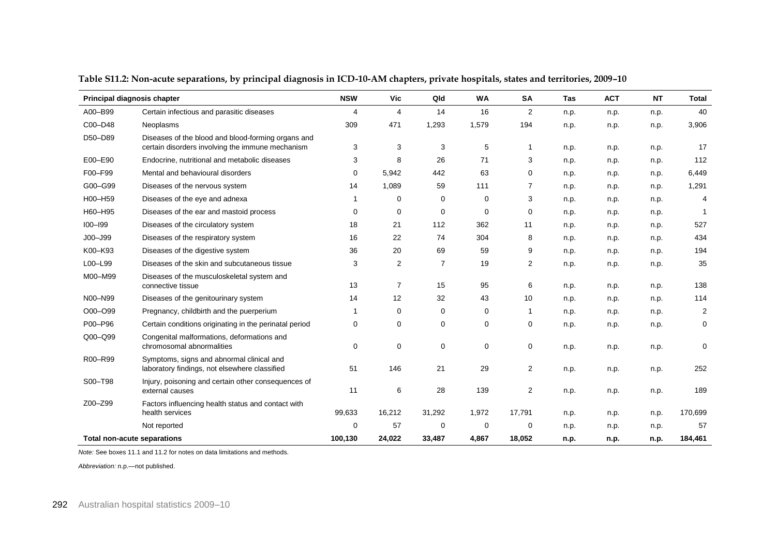| Principal diagnosis chapter        |                                                                                                        | <b>NSW</b>              | <b>Vic</b> | Qld            | WA          | SA             | Tas  | <b>ACT</b> | <b>NT</b> | <b>Total</b>   |
|------------------------------------|--------------------------------------------------------------------------------------------------------|-------------------------|------------|----------------|-------------|----------------|------|------------|-----------|----------------|
| A00-B99                            | Certain infectious and parasitic diseases                                                              | $\overline{\mathbf{4}}$ | 4          | 14             | 16          | 2              | n.p. | n.p.       | n.p.      | 40             |
| C00-D48                            | Neoplasms                                                                                              | 309                     | 471        | 1,293          | 1,579       | 194            | n.p. | n.p.       | n.p.      | 3,906          |
| D50-D89                            | Diseases of the blood and blood-forming organs and<br>certain disorders involving the immune mechanism | 3                       | 3          | 3              | 5           | 1              | n.p. | n.p.       | n.p.      | 17             |
| E00-E90                            | Endocrine, nutritional and metabolic diseases                                                          | 3                       | 8          | 26             | 71          | 3              | n.p. | n.p.       | n.p.      | 112            |
| F00-F99                            | Mental and behavioural disorders                                                                       | 0                       | 5,942      | 442            | 63          | $\Omega$       | n.p. | n.p.       | n.p.      | 6,449          |
| G00-G99                            | Diseases of the nervous system                                                                         | 14                      | 1,089      | 59             | 111         | 7              | n.p. | n.p.       | n.p.      | 1,291          |
| H00-H59                            | Diseases of the eye and adnexa                                                                         | 1                       | 0          | 0              | 0           | 3              | n.p. | n.p.       | n.p.      | 4              |
| H60-H95                            | Diseases of the ear and mastoid process                                                                | 0                       | 0          | 0              | $\mathbf 0$ | 0              | n.p. | n.p.       | n.p.      |                |
| $100 - 199$                        | Diseases of the circulatory system                                                                     | 18                      | 21         | 112            | 362         | 11             | n.p. | n.p.       | n.p.      | 527            |
| $JOO - J99$                        | Diseases of the respiratory system                                                                     | 16                      | 22         | 74             | 304         | 8              | n.p. | n.p.       | n.p.      | 434            |
| K00-K93                            | Diseases of the digestive system                                                                       | 36                      | 20         | 69             | 59          | 9              | n.p. | n.p.       | n.p.      | 194            |
| L00-L99                            | Diseases of the skin and subcutaneous tissue                                                           | 3                       | 2          | $\overline{7}$ | 19          | $\overline{2}$ | n.p. | n.p.       | n.p.      | 35             |
| M00-M99                            | Diseases of the musculoskeletal system and<br>connective tissue                                        | 13                      | 7          | 15             | 95          | 6              | n.p. | n.p.       | n.p.      | 138            |
| N00-N99                            | Diseases of the genitourinary system                                                                   | 14                      | 12         | 32             | 43          | 10             | n.p. | n.p.       | n.p.      | 114            |
| O00-O99                            | Pregnancy, childbirth and the puerperium                                                               | 1                       | 0          | 0              | 0           | $\mathbf 1$    | n.p. | n.p.       | n.p.      | $\overline{2}$ |
| P00-P96                            | Certain conditions originating in the perinatal period                                                 | 0                       | 0          | 0              | 0           | 0              | n.p. | n.p.       | n.p.      | 0              |
| Q00-Q99                            | Congenital malformations, deformations and<br>chromosomal abnormalities                                | 0                       | 0          | 0              | 0           | 0              | n.p. | n.p.       | n.p.      | 0              |
| R00-R99                            | Symptoms, signs and abnormal clinical and<br>laboratory findings, not elsewhere classified             | 51                      | 146        | 21             | 29          | 2              | n.p. | n.p.       | n.p.      | 252            |
| S00-T98                            | Injury, poisoning and certain other consequences of<br>external causes                                 | 11                      | 6          | 28             | 139         | 2              | n.p. | n.p.       | n.p.      | 189            |
| Z00-Z99                            | Factors influencing health status and contact with<br>health services                                  | 99,633                  | 16,212     | 31,292         | 1,972       | 17,791         | n.p. | n.p.       | n.p.      | 170,699        |
|                                    | Not reported                                                                                           | $\Omega$                | 57         | 0              | $\mathbf 0$ | $\Omega$       | n.p. | n.p.       | n.p.      | 57             |
| <b>Total non-acute separations</b> |                                                                                                        | 100,130                 | 24,022     | 33,487         | 4,867       | 18,052         | n.p. | n.p.       | n.p.      | 184,461        |

**Table S11.2: Non-acute separations, by principal diagnosis in ICD-10-AM chapters, private hospitals, states and territories, 2009–10** 

*Note:* See boxes 11.1 and 11.2 for notes on data limitations and methods.

*Abbreviation:* n.p.—not published.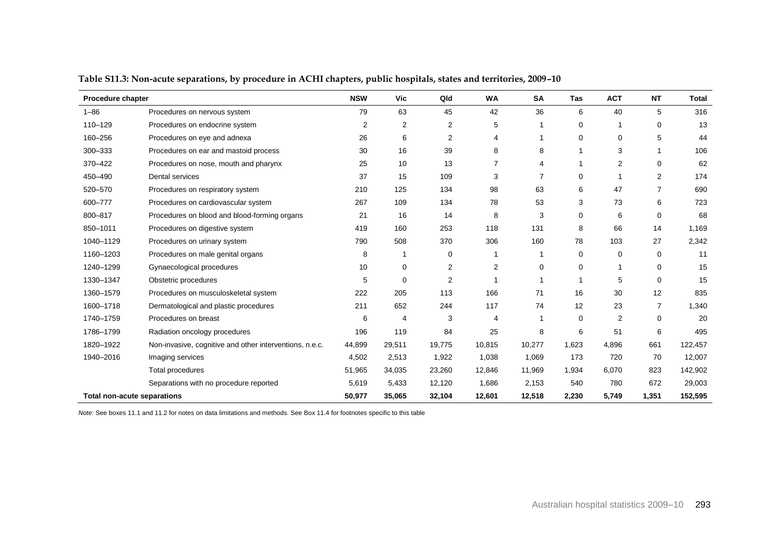| <b>Procedure chapter</b>           |                                                         | <b>NSW</b> | Vic          | Qld    | <b>WA</b> | <b>SA</b>   | Tas         | <b>ACT</b>     | <b>NT</b>      | <b>Total</b> |
|------------------------------------|---------------------------------------------------------|------------|--------------|--------|-----------|-------------|-------------|----------------|----------------|--------------|
| $1 - 86$                           | Procedures on nervous system                            | 79         | 63           | 45     | 42        | 36          | 6           | 40             | 5              | 316          |
| 110-129                            | Procedures on endocrine system                          | 2          | 2            | 2      | 5         | 1           | 0           |                | 0              | 13           |
| 160-256                            | Procedures on eye and adnexa                            | 26         | 6            | 2      | 4         | 1           | 0           | $\Omega$       | 5              | 44           |
| 300-333                            | Procedures on ear and mastoid process                   | 30         | 16           | 39     | 8         | 8           |             | 3              | $\mathbf{1}$   | 106          |
| 370-422                            | Procedures on nose, mouth and pharynx                   | 25         | 10           | 13     | 7         | 4           |             | $\overline{2}$ | 0              | 62           |
| 450-490                            | Dental services                                         | 37         | 15           | 109    | 3         | 7           | 0           |                | 2              | 174          |
| 520-570                            | Procedures on respiratory system                        | 210        | 125          | 134    | 98        | 63          | 6           | 47             | 7              | 690          |
| 600-777                            | Procedures on cardiovascular system                     | 267        | 109          | 134    | 78        | 53          | 3           | 73             | 6              | 723          |
| 800-817                            | Procedures on blood and blood-forming organs            | 21         | 16           | 14     | 8         | 3           | $\mathbf 0$ | 6              | 0              | 68           |
| 850-1011                           | Procedures on digestive system                          | 419        | 160          | 253    | 118       | 131         | 8           | 66             | 14             | 1,169        |
| 1040-1129                          | Procedures on urinary system                            | 790        | 508          | 370    | 306       | 160         | 78          | 103            | 27             | 2,342        |
| 1160-1203                          | Procedures on male genital organs                       | 8          | $\mathbf{1}$ | 0      |           | 1           | 0           | 0              | 0              | 11           |
| 1240-1299                          | Gynaecological procedures                               | 10         | 0            | 2      | 2         | 0           | 0           |                | 0              | 15           |
| 1330-1347                          | Obstetric procedures                                    | 5          | $\mathbf 0$  | 2      |           | 1           |             | 5              | 0              | 15           |
| 1360-1579                          | Procedures on musculoskeletal system                    | 222        | 205          | 113    | 166       | 71          | 16          | 30             | 12             | 835          |
| 1600-1718                          | Dermatological and plastic procedures                   | 211        | 652          | 244    | 117       | 74          | 12          | 23             | $\overline{7}$ | 1,340        |
| 1740-1759                          | Procedures on breast                                    | 6          | 4            | 3      | 4         | $\mathbf 1$ | 0           | 2              | 0              | 20           |
| 1786-1799                          | Radiation oncology procedures                           | 196        | 119          | 84     | 25        | 8           | 6           | 51             | 6              | 495          |
| 1820-1922                          | Non-invasive, cognitive and other interventions, n.e.c. | 44,899     | 29,511       | 19,775 | 10,815    | 10,277      | 1,623       | 4,896          | 661            | 122,457      |
| 1940-2016                          | Imaging services                                        | 4,502      | 2,513        | 1,922  | 1,038     | 1,069       | 173         | 720            | 70             | 12,007       |
|                                    | Total procedures                                        | 51,965     | 34,035       | 23,260 | 12,846    | 11,969      | 1,934       | 6,070          | 823            | 142,902      |
|                                    | Separations with no procedure reported                  | 5,619      | 5,433        | 12,120 | 1,686     | 2,153       | 540         | 780            | 672            | 29,003       |
| <b>Total non-acute separations</b> |                                                         | 50,977     | 35,065       | 32,104 | 12,601    | 12,518      | 2,230       | 5,749          | 1,351          | 152,595      |

**Table S11.3: Non-acute separations, by procedure in ACHI chapters, public hospitals, states and territories, 2009–10**

*Note:* See boxes 11.1 and 11.2 for notes on data limitations and methods. See Box 11.4 for footnotes specific to this table